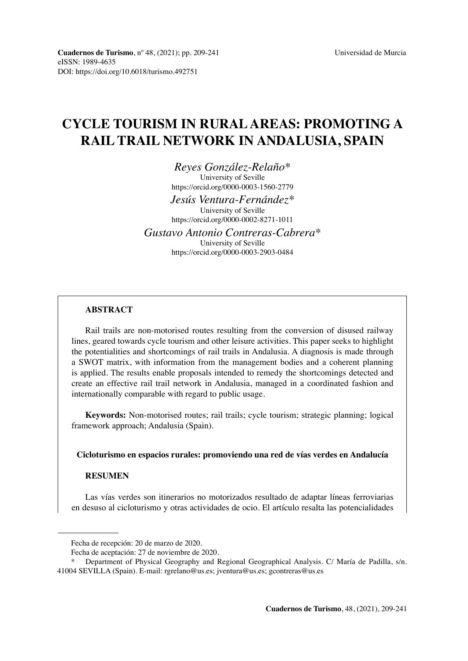# **CYCLE TOURISM IN RURAL AREAS: PROMOTING A RAIL TRAIL NETWORK IN ANDALUSIA, SPAIN**

*Reyes González-Relaño\**

University of Seville <https://orcid.org/0000-0003-1560-2779>

*Jesús Ventura-Fernández\** University of Seville

<https://orcid.org/0000-0002-8271-1011>

*Gustavo Antonio Contreras-Cabrera\** University of Seville <https://orcid.org/0000-0003-2903-0484>

## **ABSTRACT**

Rail trails are non-motorised routes resulting from the conversion of disused railway lines, geared towards cycle tourism and other leisure activities. This paper seeks to highlight the potentialities and shortcomings of rail trails in Andalusia. A diagnosis is made through a SWOT matrix, with information from the management bodies and a coherent planning is applied. The results enable proposals intended to remedy the shortcomings detected and create an effective rail trail network in Andalusia, managed in a coordinated fashion and internationally comparable with regard to public usage.

**Keywords:** Non-motorised routes; rail trails; cycle tourism; strategic planning; logical framework approach; Andalusia (Spain).

**Cicloturismo en espacios rurales: promoviendo una red de vías verdes en Andalucía**

## **RESUMEN**

Las vías verdes son itinerarios no motorizados resultado de adaptar líneas ferroviarias en desuso al cicloturismo y otras actividades de ocio. El artículo resalta las potencialidades

Fecha de recepción: 20 de marzo de 2020.

Fecha de aceptación: 27 de noviembre de 2020.

Department of Physical Geography and Regional Geographical Analysis. C/ María de Padilla, s/n. 41004 SEVILLA (Spain). E-mail: [rgrelano@us.es](mailto:rgrelano@us.es); [jventura@us.es;](mailto:jventura@us.es) gcontreras@us.es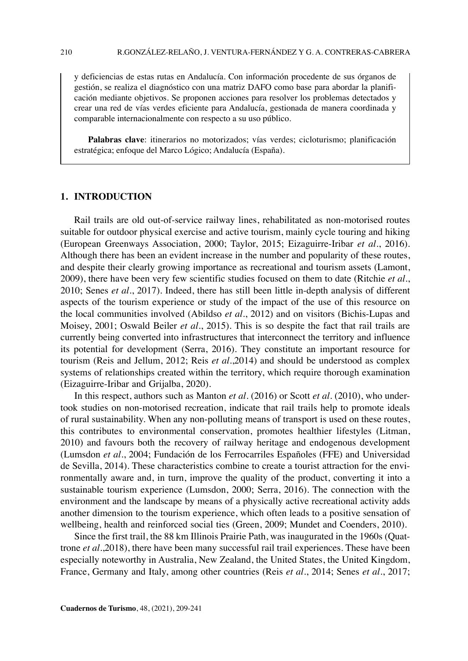y deficiencias de estas rutas en Andalucía. Con información procedente de sus órganos de gestión, se realiza el diagnóstico con una matriz DAFO como base para abordar la planificación mediante objetivos. Se proponen acciones para resolver los problemas detectados y crear una red de vías verdes eficiente para Andalucía, gestionada de manera coordinada y comparable internacionalmente con respecto a su uso público.

**Palabras clave**: itinerarios no motorizados; vías verdes; cicloturismo; planificación estratégica; enfoque del Marco Lógico; Andalucía (España).

## **1. INTRODUCTION**

Rail trails are old out-of-service railway lines, rehabilitated as non-motorised routes suitable for outdoor physical exercise and active tourism, mainly cycle touring and hiking (European Greenways Association, 2000; Taylor, 2015; Eizaguirre-Iribar *et al*., 2016). Although there has been an evident increase in the number and popularity of these routes, and despite their clearly growing importance as recreational and tourism assets (Lamont, 2009), there have been very few scientific studies focused on them to date (Ritchie *et al*., 2010; Senes *et al.*, 2017). Indeed, there has still been little in-depth analysis of different aspects of the tourism experience or study of the impact of the use of this resource on the local communities involved (Abildso *et al*., 2012) and on visitors (Bichis-Lupas and Moisey, 2001; Oswald Beiler *et al*., 2015). This is so despite the fact that rail trails are currently being converted into infrastructures that interconnect the territory and influence its potential for development (Serra, 2016). They constitute an important resource for tourism (Reis and Jellum, 2012; Reis *et al*.,2014) and should be understood as complex systems of relationships created within the territory, which require thorough examination (Eizaguirre-Iribar and Grijalba, 2020).

In this respect, authors such as Manton *et al*. (2016) or Scott *et al*. (2010), who undertook studies on non-motorised recreation, indicate that rail trails help to promote ideals of rural sustainability. When any non-polluting means of transport is used on these routes, this contributes to environmental conservation, promotes healthier lifestyles (Litman, 2010) and favours both the recovery of railway heritage and endogenous development (Lumsdon *et al*., 2004; Fundación de los Ferrocarriles Españoles (FFE) and Universidad de Sevilla, 2014). These characteristics combine to create a tourist attraction for the environmentally aware and, in turn, improve the quality of the product, converting it into a sustainable tourism experience (Lumsdon, 2000; Serra, 2016). The connection with the environment and the landscape by means of a physically active recreational activity adds another dimension to the tourism experience, which often leads to a positive sensation of wellbeing, health and reinforced social ties (Green, 2009; Mundet and Coenders, 2010).

Since the first trail, the 88 km Illinois Prairie Path, was inaugurated in the 1960s (Quattrone *et al*.,2018), there have been many successful rail trail experiences. These have been especially noteworthy in Australia, New Zealand, the United States, the United Kingdom, France, Germany and Italy, among other countries (Reis *et al*., 2014; Senes *et al*., 2017;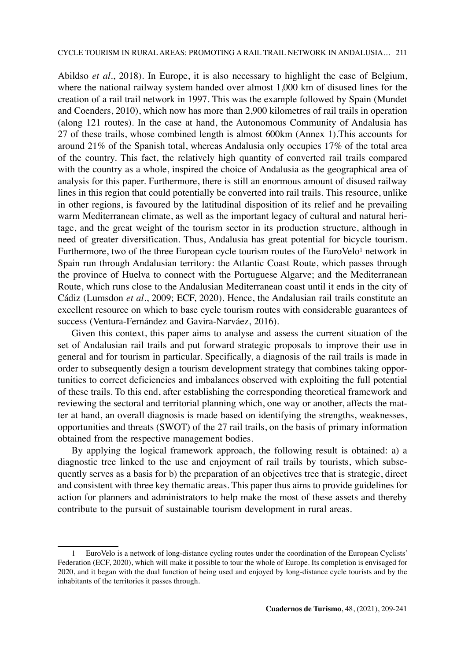Abildso *et al*., 2018). In Europe, it is also necessary to highlight the case of Belgium, where the national railway system handed over almost 1,000 km of disused lines for the creation of a rail trail network in 1997. This was the example followed by Spain (Mundet and Coenders, 2010), which now has more than 2,900 kilometres of rail trails in operation (along 121 routes). In the case at hand, the Autonomous Community of Andalusia has 27 of these trails, whose combined length is almost 600km (Annex 1).This accounts for around 21% of the Spanish total, whereas Andalusia only occupies 17% of the total area of the country. This fact, the relatively high quantity of converted rail trails compared with the country as a whole, inspired the choice of Andalusia as the geographical area of analysis for this paper. Furthermore, there is still an enormous amount of disused railway lines in this region that could potentially be converted into rail trails. This resource, unlike in other regions, is favoured by the latitudinal disposition of its relief and he prevailing warm Mediterranean climate, as well as the important legacy of cultural and natural heritage, and the great weight of the tourism sector in its production structure, although in need of greater diversification. Thus, Andalusia has great potential for bicycle tourism. Furthermore, two of the three European cycle tourism routes of the EuroVelo<sup>1</sup> network in Spain run through Andalusian territory: the Atlantic Coast Route, which passes through the province of Huelva to connect with the Portuguese Algarve; and the Mediterranean Route, which runs close to the Andalusian Mediterranean coast until it ends in the city of Cádiz (Lumsdon *et al*., 2009; ECF, 2020). Hence, the Andalusian rail trails constitute an excellent resource on which to base cycle tourism routes with considerable guarantees of success (Ventura-Fernández and Gavira-Narváez, 2016).

Given this context, this paper aims to analyse and assess the current situation of the set of Andalusian rail trails and put forward strategic proposals to improve their use in general and for tourism in particular. Specifically, a diagnosis of the rail trails is made in order to subsequently design a tourism development strategy that combines taking opportunities to correct deficiencies and imbalances observed with exploiting the full potential of these trails. To this end, after establishing the corresponding theoretical framework and reviewing the sectoral and territorial planning which, one way or another, affects the matter at hand, an overall diagnosis is made based on identifying the strengths, weaknesses, opportunities and threats (SWOT) of the 27 rail trails, on the basis of primary information obtained from the respective management bodies.

By applying the logical framework approach, the following result is obtained: a) a diagnostic tree linked to the use and enjoyment of rail trails by tourists, which subsequently serves as a basis for b) the preparation of an objectives tree that is strategic, direct and consistent with three key thematic areas. This paper thus aims to provide guidelines for action for planners and administrators to help make the most of these assets and thereby contribute to the pursuit of sustainable tourism development in rural areas.

<sup>1</sup> EuroVelo is a network of long-distance cycling routes under the coordination of the European Cyclists' Federation (ECF, 2020), which will make it possible to tour the whole of Europe. Its completion is envisaged for 2020, and it began with the dual function of being used and enjoyed by long-distance cycle tourists and by the inhabitants of the territories it passes through.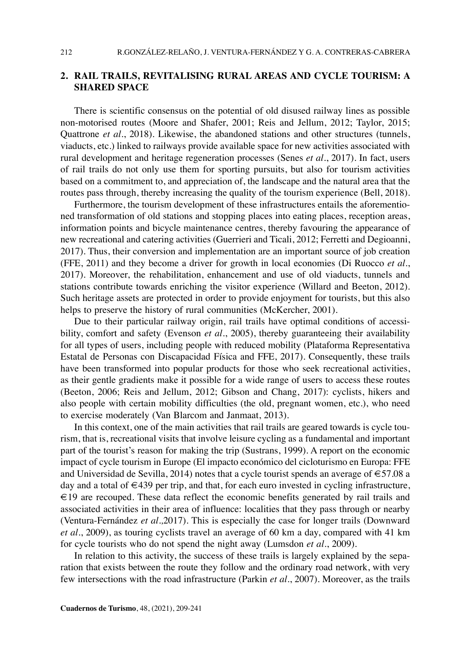## **2. RAIL TRAILS, REVITALISING RURAL AREAS AND CYCLE TOURISM: A SHARED SPACE**

There is scientific consensus on the potential of old disused railway lines as possible non-motorised routes (Moore and Shafer, 2001; Reis and Jellum, 2012; Taylor, 2015; Quattrone *et al.*, 2018). Likewise, the abandoned stations and other structures (tunnels, viaducts, etc.) linked to railways provide available space for new activities associated with rural development and heritage regeneration processes (Senes *et al*., 2017). In fact, users of rail trails do not only use them for sporting pursuits, but also for tourism activities based on a commitment to, and appreciation of, the landscape and the natural area that the routes pass through, thereby increasing the quality of the tourism experience (Bell, 2018).

Furthermore, the tourism development of these infrastructures entails the aforementioned transformation of old stations and stopping places into eating places, reception areas, information points and bicycle maintenance centres, thereby favouring the appearance of new recreational and catering activities (Guerrieri and Ticali, 2012; Ferretti and Degioanni, 2017). Thus, their conversion and implementation are an important source of job creation (FFE, 2011) and they become a driver for growth in local economies (Di Ruocco *et al*., 2017). Moreover, the rehabilitation, enhancement and use of old viaducts, tunnels and stations contribute towards enriching the visitor experience (Willard and Beeton, 2012). Such heritage assets are protected in order to provide enjoyment for tourists, but this also helps to preserve the history of rural communities (McKercher, 2001).

Due to their particular railway origin, rail trails have optimal conditions of accessibility, comfort and safety (Evenson *et al*., 2005), thereby guaranteeing their availability for all types of users, including people with reduced mobility (Plataforma Representativa Estatal de Personas con Discapacidad Física and FFE, 2017). Consequently, these trails have been transformed into popular products for those who seek recreational activities, as their gentle gradients make it possible for a wide range of users to access these routes (Beeton, 2006; Reis and Jellum, 2012; Gibson and Chang, 2017): cyclists, hikers and also people with certain mobility difficulties (the old, pregnant women, etc.), who need to exercise moderately (Van Blarcom and Janmaat, 2013).

In this context, one of the main activities that rail trails are geared towards is cycle tourism, that is, recreational visits that involve leisure cycling as a fundamental and important part of the tourist's reason for making the trip (Sustrans, 1999). A report on the economic impact of cycle tourism in Europe (El impacto económico del cicloturismo en Europa: FFE and Universidad de Sevilla, 2014) notes that a cycle tourist spends an average of €57.08 a day and a total of  $\in$ 439 per trip, and that, for each euro invested in cycling infrastructure, €19 are recouped. These data reflect the economic benefits generated by rail trails and associated activities in their area of influence: localities that they pass through or nearby (Ventura-Fernández *et al.,*2017). This is especially the case for longer trails (Downward *et al.*, 2009), as touring cyclists travel an average of 60 km a day, compared with 41 km for cycle tourists who do not spend the night away (Lumsdon *et al*., 2009).

In relation to this activity, the success of these trails is largely explained by the separation that exists between the route they follow and the ordinary road network, with very few intersections with the road infrastructure (Parkin *et al*., 2007). Moreover, as the trails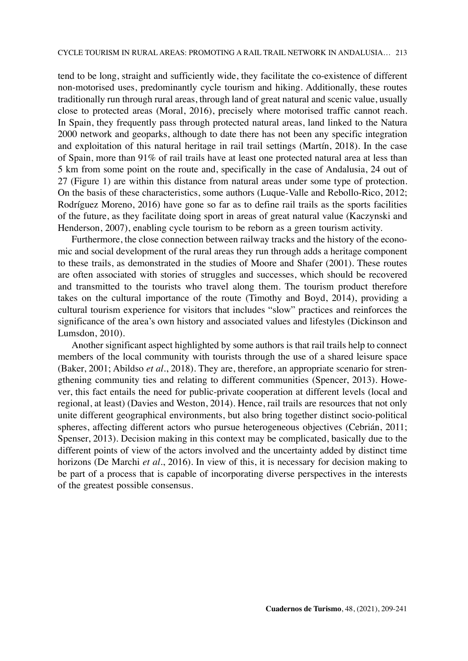tend to be long, straight and sufficiently wide, they facilitate the co-existence of different non-motorised uses, predominantly cycle tourism and hiking. Additionally, these routes traditionally run through rural areas, through land of great natural and scenic value, usually close to protected areas (Moral, 2016), precisely where motorised traffic cannot reach. In Spain, they frequently pass through protected natural areas, land linked to the Natura 2000 network and geoparks, although to date there has not been any specific integration and exploitation of this natural heritage in rail trail settings (Martín, 2018). In the case of Spain, more than 91% of rail trails have at least one protected natural area at less than 5 km from some point on the route and, specifically in the case of Andalusia, 24 out of 27 (Figure 1) are within this distance from natural areas under some type of protection. On the basis of these characteristics, some authors (Luque-Valle and Rebollo-Rico, 2012; Rodríguez Moreno, 2016) have gone so far as to define rail trails as the sports facilities of the future, as they facilitate doing sport in areas of great natural value (Kaczynski and Henderson, 2007), enabling cycle tourism to be reborn as a green tourism activity.

Furthermore, the close connection between railway tracks and the history of the economic and social development of the rural areas they run through adds a heritage component to these trails, as demonstrated in the studies of Moore and Shafer (2001). These routes are often associated with stories of struggles and successes, which should be recovered and transmitted to the tourists who travel along them. The tourism product therefore takes on the cultural importance of the route (Timothy and Boyd, 2014), providing a cultural tourism experience for visitors that includes "slow" practices and reinforces the significance of the area's own history and associated values and lifestyles (Dickinson and Lumsdon, 2010).

Another significant aspect highlighted by some authors is that rail trails help to connect members of the local community with tourists through the use of a shared leisure space (Baker, 2001; Abildso *et al*., 2018). They are, therefore, an appropriate scenario for strengthening community ties and relating to different communities (Spencer, 2013). However, this fact entails the need for public-private cooperation at different levels (local and regional, at least) (Davies and Weston, 2014). Hence, rail trails are resources that not only unite different geographical environments, but also bring together distinct socio-political spheres, affecting different actors who pursue heterogeneous objectives (Cebrián, 2011; Spenser, 2013). Decision making in this context may be complicated, basically due to the different points of view of the actors involved and the uncertainty added by distinct time horizons (De Marchi *et al*., 2016). In view of this, it is necessary for decision making to be part of a process that is capable of incorporating diverse perspectives in the interests of the greatest possible consensus.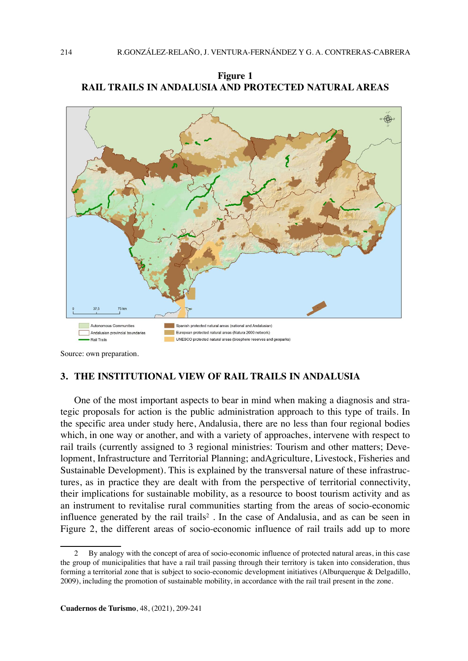**Figure 1 RAIL TRAILS IN ANDALUSIA AND PROTECTED NATURAL AREAS**



Source: own preparation.

## **3. THE INSTITUTIONAL VIEW OF RAIL TRAILS IN ANDALUSIA**

One of the most important aspects to bear in mind when making a diagnosis and strategic proposals for action is the public administration approach to this type of trails. In the specific area under study here, Andalusia, there are no less than four regional bodies which, in one way or another, and with a variety of approaches, intervene with respect to rail trails (currently assigned to 3 regional ministries: Tourism and other matters; Development, Infrastructure and Territorial Planning; andAgriculture, Livestock, Fisheries and Sustainable Development). This is explained by the transversal nature of these infrastructures, as in practice they are dealt with from the perspective of territorial connectivity, their implications for sustainable mobility, as a resource to boost tourism activity and as an instrument to revitalise rural communities starting from the areas of socio-economic influence generated by the rail trails<sup>2</sup>. In the case of Andalusia, and as can be seen in Figure 2, the different areas of socio-economic influence of rail trails add up to more

<sup>2</sup> By analogy with the concept of area of socio-economic influence of protected natural areas, in this case the group of municipalities that have a rail trail passing through their territory is taken into consideration, thus forming a territorial zone that is subject to socio-economic development initiatives (Alburquerque & Delgadillo, 2009), including the promotion of sustainable mobility, in accordance with the rail trail present in the zone.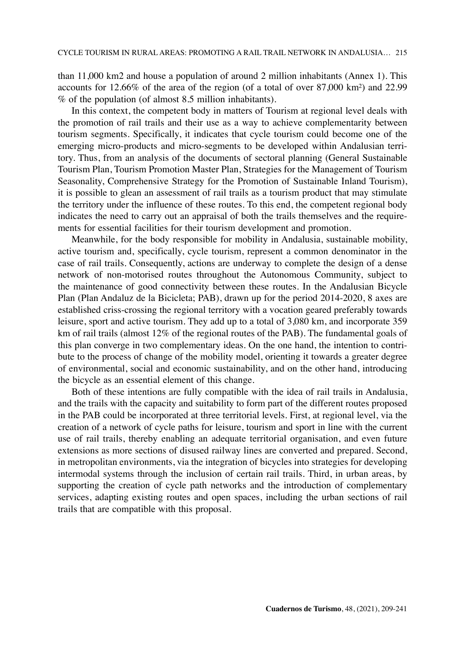than 11,000 km2 and house a population of around 2 million inhabitants (Annex 1). This accounts for 12.66% of the area of the region (of a total of over 87,000 km²) and 22.99 % of the population (of almost 8.5 million inhabitants).

In this context, the competent body in matters of Tourism at regional level deals with the promotion of rail trails and their use as a way to achieve complementarity between tourism segments. Specifically, it indicates that cycle tourism could become one of the emerging micro-products and micro-segments to be developed within Andalusian territory. Thus, from an analysis of the documents of sectoral planning (General Sustainable Tourism Plan, Tourism Promotion Master Plan, Strategies for the Management of Tourism Seasonality, Comprehensive Strategy for the Promotion of Sustainable Inland Tourism), it is possible to glean an assessment of rail trails as a tourism product that may stimulate the territory under the influence of these routes. To this end, the competent regional body indicates the need to carry out an appraisal of both the trails themselves and the requirements for essential facilities for their tourism development and promotion.

Meanwhile, for the body responsible for mobility in Andalusia, sustainable mobility, active tourism and, specifically, cycle tourism, represent a common denominator in the case of rail trails. Consequently, actions are underway to complete the design of a dense network of non-motorised routes throughout the Autonomous Community, subject to the maintenance of good connectivity between these routes. In the Andalusian Bicycle Plan (Plan Andaluz de la Bicicleta; PAB), drawn up for the period 2014-2020, 8 axes are established criss-crossing the regional territory with a vocation geared preferably towards leisure, sport and active tourism. They add up to a total of 3,080 km, and incorporate 359 km of rail trails (almost 12% of the regional routes of the PAB). The fundamental goals of this plan converge in two complementary ideas. On the one hand, the intention to contribute to the process of change of the mobility model, orienting it towards a greater degree of environmental, social and economic sustainability, and on the other hand, introducing the bicycle as an essential element of this change.

Both of these intentions are fully compatible with the idea of rail trails in Andalusia, and the trails with the capacity and suitability to form part of the different routes proposed in the PAB could be incorporated at three territorial levels. First, at regional level, via the creation of a network of cycle paths for leisure, tourism and sport in line with the current use of rail trails, thereby enabling an adequate territorial organisation, and even future extensions as more sections of disused railway lines are converted and prepared. Second, in metropolitan environments, via the integration of bicycles into strategies for developing intermodal systems through the inclusion of certain rail trails. Third, in urban areas, by supporting the creation of cycle path networks and the introduction of complementary services, adapting existing routes and open spaces, including the urban sections of rail trails that are compatible with this proposal.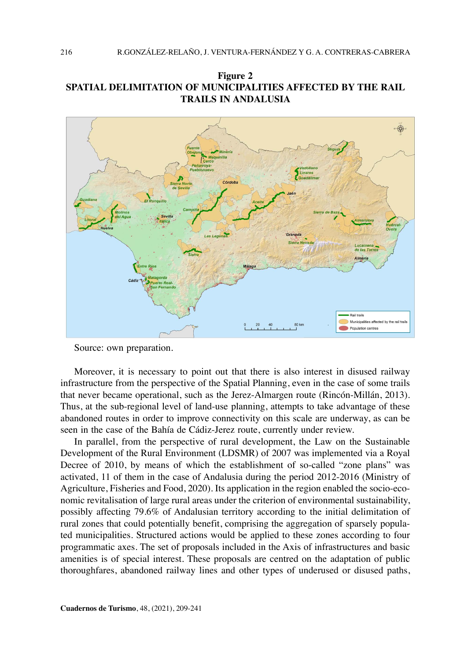



Source: own preparation.

Moreover, it is necessary to point out that there is also interest in disused railway infrastructure from the perspective of the Spatial Planning, even in the case of some trails that never became operational, such as the Jerez-Almargen route (Rincón-Millán, 2013). Thus, at the sub-regional level of land-use planning, attempts to take advantage of these abandoned routes in order to improve connectivity on this scale are underway, as can be seen in the case of the Bahía de Cádiz-Jerez route, currently under review.

In parallel, from the perspective of rural development, the Law on the Sustainable Development of the Rural Environment (LDSMR) of 2007 was implemented via a Royal Decree of 2010, by means of which the establishment of so-called "zone plans" was activated, 11 of them in the case of Andalusia during the period 2012-2016 (Ministry of Agriculture, Fisheries and Food, 2020). Its application in the region enabled the socio-economic revitalisation of large rural areas under the criterion of environmental sustainability, possibly affecting 79.6% of Andalusian territory according to the initial delimitation of rural zones that could potentially benefit, comprising the aggregation of sparsely populated municipalities. Structured actions would be applied to these zones according to four programmatic axes. The set of proposals included in the Axis of infrastructures and basic amenities is of special interest. These proposals are centred on the adaptation of public thoroughfares, abandoned railway lines and other types of underused or disused paths,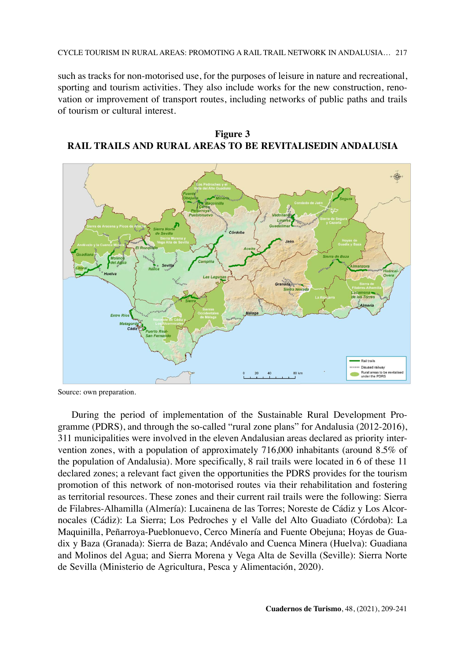CYCLE TOURISM IN RURAL AREAS: PROMOTING A RAIL TRAIL NETWORK IN ANDALUSIA… 217

such as tracks for non-motorised use, for the purposes of leisure in nature and recreational, sporting and tourism activities. They also include works for the new construction, renovation or improvement of transport routes, including networks of public paths and trails of tourism or cultural interest.

**Figure 3 RAIL TRAILS AND RURAL AREAS TO BE REVITALISEDIN ANDALUSIA**



Source: own preparation.

During the period of implementation of the Sustainable Rural Development Programme (PDRS), and through the so-called "rural zone plans" for Andalusia (2012-2016), 311 municipalities were involved in the eleven Andalusian areas declared as priority intervention zones, with a population of approximately 716,000 inhabitants (around 8.5% of the population of Andalusia). More specifically, 8 rail trails were located in 6 of these 11 declared zones; a relevant fact given the opportunities the PDRS provides for the tourism promotion of this network of non-motorised routes via their rehabilitation and fostering as territorial resources. These zones and their current rail trails were the following: Sierra de Filabres-Alhamilla (Almería): Lucainena de las Torres; Noreste de Cádiz y Los Alcornocales (Cádiz): La Sierra; Los Pedroches y el Valle del Alto Guadiato (Córdoba): La Maquinilla, Peñarroya-Pueblonuevo, Cerco Minería and Fuente Obejuna; Hoyas de Guadix y Baza (Granada): Sierra de Baza; Andévalo and Cuenca Minera (Huelva): Guadiana and Molinos del Agua; and Sierra Morena y Vega Alta de Sevilla (Seville): Sierra Norte de Sevilla (Ministerio de Agricultura, Pesca y Alimentación, 2020).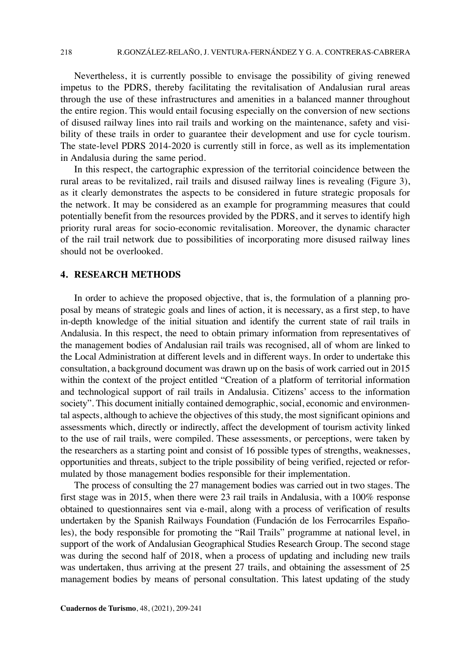Nevertheless, it is currently possible to envisage the possibility of giving renewed impetus to the PDRS, thereby facilitating the revitalisation of Andalusian rural areas through the use of these infrastructures and amenities in a balanced manner throughout the entire region. This would entail focusing especially on the conversion of new sections of disused railway lines into rail trails and working on the maintenance, safety and visibility of these trails in order to guarantee their development and use for cycle tourism. The state-level PDRS 2014-2020 is currently still in force, as well as its implementation in Andalusia during the same period.

In this respect, the cartographic expression of the territorial coincidence between the rural areas to be revitalized, rail trails and disused railway lines is revealing (Figure 3), as it clearly demonstrates the aspects to be considered in future strategic proposals for the network. It may be considered as an example for programming measures that could potentially benefit from the resources provided by the PDRS, and it serves to identify high priority rural areas for socio-economic revitalisation. Moreover, the dynamic character of the rail trail network due to possibilities of incorporating more disused railway lines should not be overlooked.

#### **4. RESEARCH METHODS**

In order to achieve the proposed objective, that is, the formulation of a planning proposal by means of strategic goals and lines of action, it is necessary, as a first step, to have in-depth knowledge of the initial situation and identify the current state of rail trails in Andalusia. In this respect, the need to obtain primary information from representatives of the management bodies of Andalusian rail trails was recognised, all of whom are linked to the Local Administration at different levels and in different ways. In order to undertake this consultation, a background document was drawn up on the basis of work carried out in 2015 within the context of the project entitled "Creation of a platform of territorial information and technological support of rail trails in Andalusia. Citizens' access to the information society". This document initially contained demographic, social, economic and environmental aspects, although to achieve the objectives of this study, the most significant opinions and assessments which, directly or indirectly, affect the development of tourism activity linked to the use of rail trails, were compiled. These assessments, or perceptions, were taken by the researchers as a starting point and consist of 16 possible types of strengths, weaknesses, opportunities and threats, subject to the triple possibility of being verified, rejected or reformulated by those management bodies responsible for their implementation.

The process of consulting the 27 management bodies was carried out in two stages. The first stage was in 2015, when there were 23 rail trails in Andalusia, with a 100% response obtained to questionnaires sent via e-mail, along with a process of verification of results undertaken by the Spanish Railways Foundation (Fundación de los Ferrocarriles Españoles), the body responsible for promoting the "Rail Trails" programme at national level, in support of the work of Andalusian Geographical Studies Research Group. The second stage was during the second half of 2018, when a process of updating and including new trails was undertaken, thus arriving at the present 27 trails, and obtaining the assessment of 25 management bodies by means of personal consultation. This latest updating of the study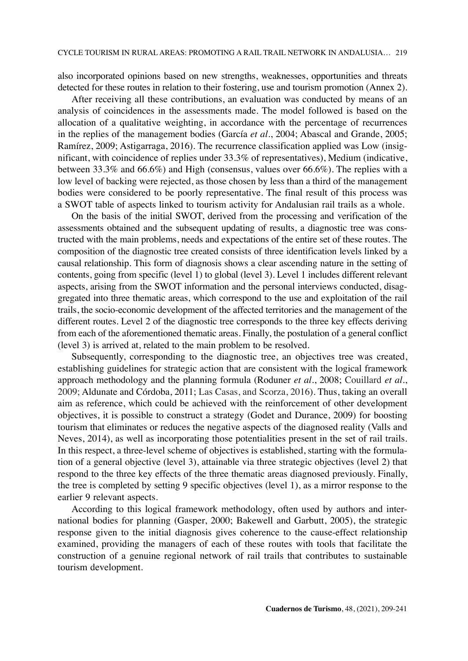also incorporated opinions based on new strengths, weaknesses, opportunities and threats detected for these routes in relation to their fostering, use and tourism promotion (Annex 2).

After receiving all these contributions, an evaluation was conducted by means of an analysis of coincidences in the assessments made. The model followed is based on the allocation of a qualitative weighting, in accordance with the percentage of recurrences in the replies of the management bodies (García *et al*., 2004; Abascal and Grande, 2005; Ramírez, 2009; Astigarraga, 2016). The recurrence classification applied was Low (insignificant, with coincidence of replies under 33.3% of representatives), Medium (indicative, between 33.3% and 66.6%) and High (consensus, values over 66.6%). The replies with a low level of backing were rejected, as those chosen by less than a third of the management bodies were considered to be poorly representative. The final result of this process was a SWOT table of aspects linked to tourism activity for Andalusian rail trails as a whole.

On the basis of the initial SWOT, derived from the processing and verification of the assessments obtained and the subsequent updating of results, a diagnostic tree was constructed with the main problems, needs and expectations of the entire set of these routes. The composition of the diagnostic tree created consists of three identification levels linked by a causal relationship. This form of diagnosis shows a clear ascending nature in the setting of contents, going from specific (level 1) to global (level 3). Level 1 includes different relevant aspects, arising from the SWOT information and the personal interviews conducted, disaggregated into three thematic areas, which correspond to the use and exploitation of the rail trails, the socio-economic development of the affected territories and the management of the different routes. Level 2 of the diagnostic tree corresponds to the three key effects deriving from each of the aforementioned thematic areas. Finally, the postulation of a general conflict (level 3) is arrived at, related to the main problem to be resolved.

Subsequently, corresponding to the diagnostic tree, an objectives tree was created, establishing guidelines for strategic action that are consistent with the logical framework approach methodology and the planning formula (Roduner *et al*., 2008; Couillard *et al*., 2009; Aldunate and Córdoba, 2011; Las Casas, and Scorza, 2016). Thus, taking an overall aim as reference, which could be achieved with the reinforcement of other development objectives, it is possible to construct a strategy (Godet and Durance, 2009) for boosting tourism that eliminates or reduces the negative aspects of the diagnosed reality (Valls and Neves, 2014), as well as incorporating those potentialities present in the set of rail trails. In this respect, a three-level scheme of objectives is established, starting with the formulation of a general objective (level 3), attainable via three strategic objectives (level 2) that respond to the three key effects of the three thematic areas diagnosed previously. Finally, the tree is completed by setting 9 specific objectives (level 1), as a mirror response to the earlier 9 relevant aspects.

According to this logical framework methodology, often used by authors and international bodies for planning (Gasper, 2000; Bakewell and Garbutt, 2005), the strategic response given to the initial diagnosis gives coherence to the cause-effect relationship examined, providing the managers of each of these routes with tools that facilitate the construction of a genuine regional network of rail trails that contributes to sustainable tourism development.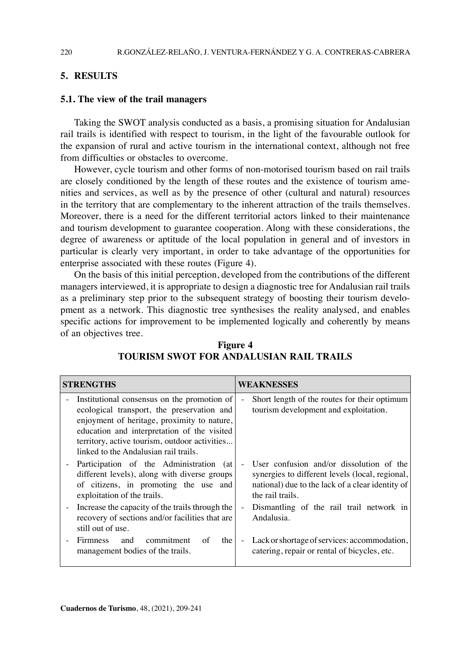## **5. RESULTS**

### **5.1. The view of the trail managers**

Taking the SWOT analysis conducted as a basis, a promising situation for Andalusian rail trails is identified with respect to tourism, in the light of the favourable outlook for the expansion of rural and active tourism in the international context, although not free from difficulties or obstacles to overcome.

However, cycle tourism and other forms of non-motorised tourism based on rail trails are closely conditioned by the length of these routes and the existence of tourism amenities and services, as well as by the presence of other (cultural and natural) resources in the territory that are complementary to the inherent attraction of the trails themselves. Moreover, there is a need for the different territorial actors linked to their maintenance and tourism development to guarantee cooperation. Along with these considerations, the degree of awareness or aptitude of the local population in general and of investors in particular is clearly very important, in order to take advantage of the opportunities for enterprise associated with these routes (Figure 4).

On the basis of this initial perception, developed from the contributions of the different managers interviewed, it is appropriate to design a diagnostic tree for Andalusian rail trails as a preliminary step prior to the subsequent strategy of boosting their tourism development as a network. This diagnostic tree synthesises the reality analysed, and enables specific actions for improvement to be implemented logically and coherently by means of an objectives tree.

| <b>STRENGTHS</b>                                                                                                                                                                                                                                                                  | WEAKNESSES                                                                                                                                                          |  |
|-----------------------------------------------------------------------------------------------------------------------------------------------------------------------------------------------------------------------------------------------------------------------------------|---------------------------------------------------------------------------------------------------------------------------------------------------------------------|--|
| Institutional consensus on the promotion of<br>ecological transport, the preservation and<br>enjoyment of heritage, proximity to nature,<br>education and interpretation of the visited<br>territory, active tourism, outdoor activities<br>linked to the Andalusian rail trails. | Short length of the routes for their optimum<br>tourism development and exploitation.                                                                               |  |
| Participation of the Administration (at<br>different levels), along with diverse groups<br>of citizens, in promoting the use and<br>exploitation of the trails.                                                                                                                   | User confusion and/or dissolution of the<br>synergies to different levels (local, regional,<br>national) due to the lack of a clear identity of<br>the rail trails. |  |
| Increase the capacity of the trails through the<br>recovery of sections and/or facilities that are<br>still out of use.                                                                                                                                                           | Dismantling of the rail trail network in<br>Andalusia.                                                                                                              |  |
| commitment<br><b>Firmness</b><br>and<br>of<br>the<br>management bodies of the trails.                                                                                                                                                                                             | Lack or shortage of services: accommodation,<br>$\sim$<br>catering, repair or rental of bicycles, etc.                                                              |  |

**Figure 4 TOURISM SWOT FOR ANDALUSIAN RAIL TRAILS**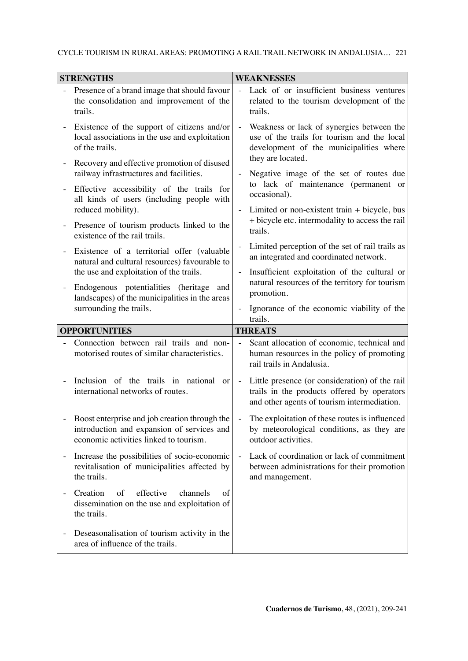## CYCLE TOURISM IN RURAL AREAS: PROMOTING A RAIL TRAIL NETWORK IN ANDALUSIA… 221

| <b>STRENGTHS</b> |                                                                                                                                       | <b>WEAKNESSES</b>        |                                                                                                                                              |  |
|------------------|---------------------------------------------------------------------------------------------------------------------------------------|--------------------------|----------------------------------------------------------------------------------------------------------------------------------------------|--|
|                  | Presence of a brand image that should favour<br>the consolidation and improvement of the<br>trails.                                   |                          | Lack of or insufficient business ventures<br>related to the tourism development of the<br>trails.                                            |  |
|                  | Existence of the support of citizens and/or<br>local associations in the use and exploitation<br>of the trails.                       |                          | Weakness or lack of synergies between the<br>use of the trails for tourism and the local<br>development of the municipalities where          |  |
| ÷,<br>$\equiv$   | Recovery and effective promotion of disused<br>railway infrastructures and facilities.<br>Effective accessibility of the trails for   |                          | they are located.<br>Negative image of the set of routes due<br>to lack of maintenance (permanent or                                         |  |
|                  | all kinds of users (including people with<br>reduced mobility).                                                                       |                          | occasional).<br>Limited or non-existent train + bicycle, bus<br>+ bicycle etc. intermodality to access the rail                              |  |
|                  | Presence of tourism products linked to the<br>existence of the rail trails.                                                           |                          | trails.                                                                                                                                      |  |
|                  | Existence of a territorial offer (valuable<br>natural and cultural resources) favourable to                                           | $\frac{1}{2}$            | Limited perception of the set of rail trails as<br>an integrated and coordinated network.                                                    |  |
|                  | the use and exploitation of the trails.<br>Endogenous potentialities (heritage and                                                    | $\overline{a}$           | Insufficient exploitation of the cultural or<br>natural resources of the territory for tourism                                               |  |
|                  | landscapes) of the municipalities in the areas<br>surrounding the trails.                                                             |                          | promotion.<br>Ignorance of the economic viability of the                                                                                     |  |
|                  |                                                                                                                                       |                          | trails.                                                                                                                                      |  |
|                  | <b>OPPORTUNITIES</b>                                                                                                                  |                          | <b>THREATS</b>                                                                                                                               |  |
|                  | Connection between rail trails and non-<br>motorised routes of similar characteristics.                                               |                          | Scant allocation of economic, technical and<br>human resources in the policy of promoting<br>rail trails in Andalusia.                       |  |
|                  | Inclusion of the trails in national or<br>international networks of routes.                                                           | $\overline{\phantom{m}}$ | Little presence (or consideration) of the rail<br>trails in the products offered by operators<br>and other agents of tourism intermediation. |  |
|                  | Boost enterprise and job creation through the<br>introduction and expansion of services and<br>economic activities linked to tourism. |                          | The exploitation of these routes is influenced<br>by meteorological conditions, as they are<br>outdoor activities.                           |  |
|                  | Increase the possibilities of socio-economic<br>revitalisation of municipalities affected by<br>the trails.                           | $\frac{1}{2}$            | Lack of coordination or lack of commitment<br>between administrations for their promotion<br>and management.                                 |  |
|                  | of<br>effective<br>Creation<br>channels<br>of<br>dissemination on the use and exploitation of<br>the trails.                          |                          |                                                                                                                                              |  |
|                  | Deseasonalisation of tourism activity in the<br>area of influence of the trails.                                                      |                          |                                                                                                                                              |  |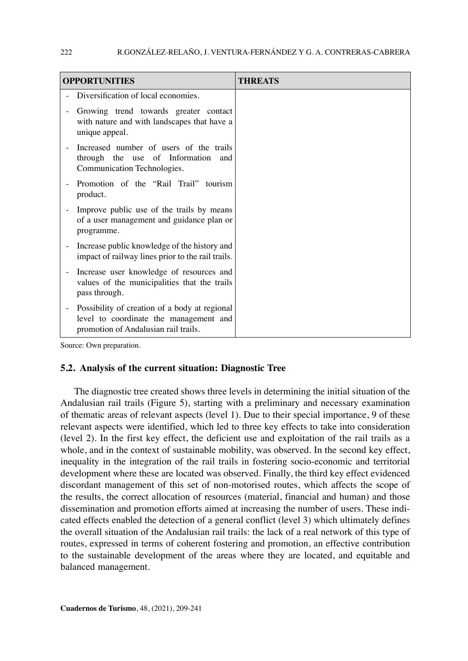| <b>OPPORTUNITIES</b>                                                                                                            | <b>THREATS</b> |
|---------------------------------------------------------------------------------------------------------------------------------|----------------|
| Diversification of local economies.                                                                                             |                |
| Growing trend towards greater contact<br>with nature and with landscapes that have a<br>unique appeal.                          |                |
| Increased number of users of the trails<br>through the use of Information and<br>Communication Technologies.                    |                |
| Promotion of the "Rail Trail" tourism<br>product.                                                                               |                |
| Improve public use of the trails by means<br>of a user management and guidance plan or<br>programme.                            |                |
| Increase public knowledge of the history and<br>impact of railway lines prior to the rail trails.                               |                |
| Increase user knowledge of resources and<br>values of the municipalities that the trails<br>pass through.                       |                |
| Possibility of creation of a body at regional<br>level to coordinate the management and<br>promotion of Andalusian rail trails. |                |

Source: Own preparation.

### **5.2. Analysis of the current situation: Diagnostic Tree**

The diagnostic tree created shows three levels in determining the initial situation of the Andalusian rail trails (Figure 5), starting with a preliminary and necessary examination of thematic areas of relevant aspects (level 1). Due to their special importance, 9 of these relevant aspects were identified, which led to three key effects to take into consideration (level 2). In the first key effect, the deficient use and exploitation of the rail trails as a whole, and in the context of sustainable mobility, was observed. In the second key effect, inequality in the integration of the rail trails in fostering socio-economic and territorial development where these are located was observed. Finally, the third key effect evidenced discordant management of this set of non-motorised routes, which affects the scope of the results, the correct allocation of resources (material, financial and human) and those dissemination and promotion efforts aimed at increasing the number of users. These indicated effects enabled the detection of a general conflict (level 3) which ultimately defines the overall situation of the Andalusian rail trails: the lack of a real network of this type of routes, expressed in terms of coherent fostering and promotion, an effective contribution to the sustainable development of the areas where they are located, and equitable and balanced management.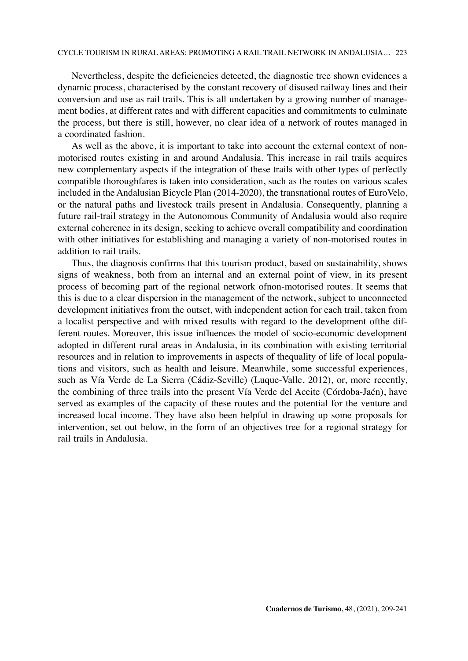Nevertheless, despite the deficiencies detected, the diagnostic tree shown evidences a dynamic process, characterised by the constant recovery of disused railway lines and their conversion and use as rail trails. This is all undertaken by a growing number of management bodies, at different rates and with different capacities and commitments to culminate the process, but there is still, however, no clear idea of a network of routes managed in a coordinated fashion.

As well as the above, it is important to take into account the external context of nonmotorised routes existing in and around Andalusia. This increase in rail trails acquires new complementary aspects if the integration of these trails with other types of perfectly compatible thoroughfares is taken into consideration, such as the routes on various scales included in the Andalusian Bicycle Plan (2014-2020), the transnational routes of EuroVelo, or the natural paths and livestock trails present in Andalusia. Consequently, planning a future rail-trail strategy in the Autonomous Community of Andalusia would also require external coherence in its design, seeking to achieve overall compatibility and coordination with other initiatives for establishing and managing a variety of non-motorised routes in addition to rail trails.

Thus, the diagnosis confirms that this tourism product, based on sustainability, shows signs of weakness, both from an internal and an external point of view, in its present process of becoming part of the regional network ofnon-motorised routes. It seems that this is due to a clear dispersion in the management of the network, subject to unconnected development initiatives from the outset, with independent action for each trail, taken from a localist perspective and with mixed results with regard to the development ofthe different routes. Moreover, this issue influences the model of socio-economic development adopted in different rural areas in Andalusia, in its combination with existing territorial resources and in relation to improvements in aspects of thequality of life of local populations and visitors, such as health and leisure. Meanwhile, some successful experiences, such as Vía Verde de La Sierra (Cádiz-Seville) (Luque-Valle, 2012), or, more recently, the combining of three trails into the present Vía Verde del Aceite (Córdoba-Jaén), have served as examples of the capacity of these routes and the potential for the venture and increased local income. They have also been helpful in drawing up some proposals for intervention, set out below, in the form of an objectives tree for a regional strategy for rail trails in Andalusia.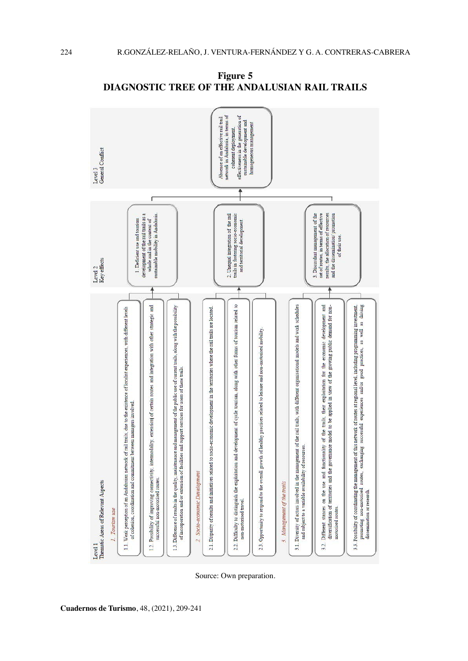

**Figure 5 DIAGNOSTIC TREE OF THE ANDALUSIAN RAIL TRAILS**

Source: Own preparation.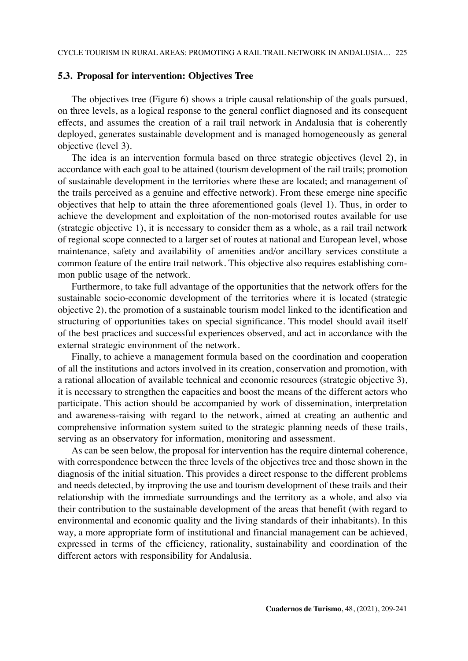### **5.3. Proposal for intervention: Objectives Tree**

The objectives tree (Figure 6) shows a triple causal relationship of the goals pursued, on three levels, as a logical response to the general conflict diagnosed and its consequent effects, and assumes the creation of a rail trail network in Andalusia that is coherently deployed, generates sustainable development and is managed homogeneously as general objective (level 3).

The idea is an intervention formula based on three strategic objectives (level 2), in accordance with each goal to be attained (tourism development of the rail trails; promotion of sustainable development in the territories where these are located; and management of the trails perceived as a genuine and effective network). From these emerge nine specific objectives that help to attain the three aforementioned goals (level 1). Thus, in order to achieve the development and exploitation of the non-motorised routes available for use (strategic objective 1), it is necessary to consider them as a whole, as a rail trail network of regional scope connected to a larger set of routes at national and European level, whose maintenance, safety and availability of amenities and/or ancillary services constitute a common feature of the entire trail network. This objective also requires establishing common public usage of the network.

Furthermore, to take full advantage of the opportunities that the network offers for the sustainable socio-economic development of the territories where it is located (strategic objective 2), the promotion of a sustainable tourism model linked to the identification and structuring of opportunities takes on special significance. This model should avail itself of the best practices and successful experiences observed, and act in accordance with the external strategic environment of the network.

Finally, to achieve a management formula based on the coordination and cooperation of all the institutions and actors involved in its creation, conservation and promotion, with a rational allocation of available technical and economic resources (strategic objective 3), it is necessary to strengthen the capacities and boost the means of the different actors who participate. This action should be accompanied by work of dissemination, interpretation and awareness-raising with regard to the network, aimed at creating an authentic and comprehensive information system suited to the strategic planning needs of these trails, serving as an observatory for information, monitoring and assessment.

As can be seen below, the proposal for intervention has the require dinternal coherence, with correspondence between the three levels of the objectives tree and those shown in the diagnosis of the initial situation. This provides a direct response to the different problems and needs detected, by improving the use and tourism development of these trails and their relationship with the immediate surroundings and the territory as a whole, and also via their contribution to the sustainable development of the areas that benefit (with regard to environmental and economic quality and the living standards of their inhabitants). In this way, a more appropriate form of institutional and financial management can be achieved, expressed in terms of the efficiency, rationality, sustainability and coordination of the different actors with responsibility for Andalusia.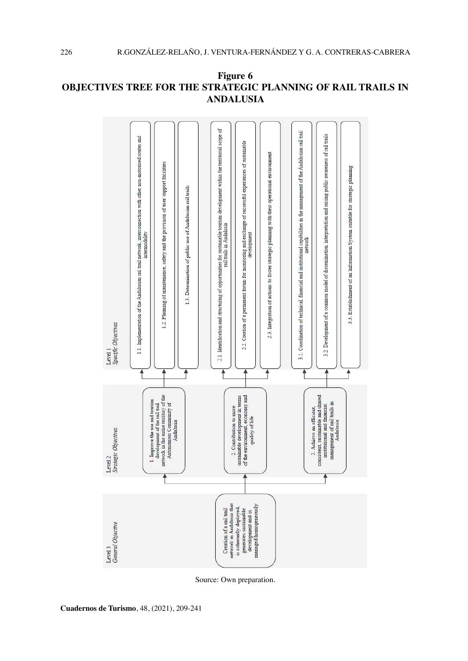

# **Figure 6 OBJECTIVES TREE FOR THE STRATEGIC PLANNING OF RAIL TRAILS IN ANDALUSIA**

Source: Own preparation.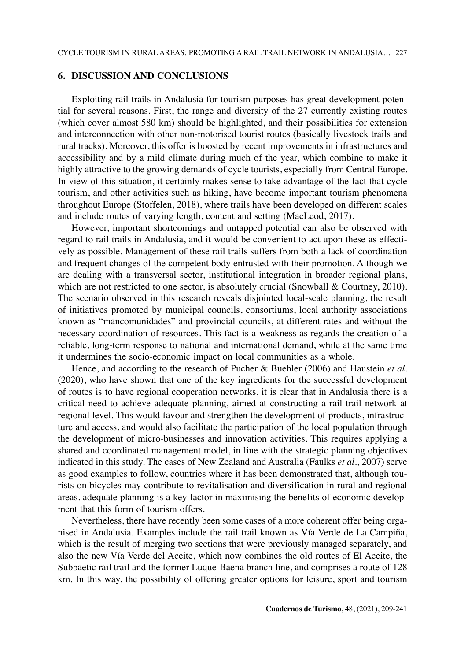## **6. DISCUSSION AND CONCLUSIONS**

Exploiting rail trails in Andalusia for tourism purposes has great development potential for several reasons. First, the range and diversity of the 27 currently existing routes (which cover almost 580 km) should be highlighted, and their possibilities for extension and interconnection with other non-motorised tourist routes (basically livestock trails and rural tracks). Moreover, this offer is boosted by recent improvements in infrastructures and accessibility and by a mild climate during much of the year, which combine to make it highly attractive to the growing demands of cycle tourists, especially from Central Europe. In view of this situation, it certainly makes sense to take advantage of the fact that cycle tourism, and other activities such as hiking, have become important tourism phenomena throughout Europe (Stoffelen, 2018), where trails have been developed on different scales and include routes of varying length, content and setting (MacLeod, 2017).

However, important shortcomings and untapped potential can also be observed with regard to rail trails in Andalusia, and it would be convenient to act upon these as effectively as possible. Management of these rail trails suffers from both a lack of coordination and frequent changes of the competent body entrusted with their promotion. Although we are dealing with a transversal sector, institutional integration in broader regional plans, which are not restricted to one sector, is absolutely crucial (Snowball & Courtney, 2010). The scenario observed in this research reveals disjointed local-scale planning, the result of initiatives promoted by municipal councils, consortiums, local authority associations known as "mancomunidades" and provincial councils, at different rates and without the necessary coordination of resources. This fact is a weakness as regards the creation of a reliable, long-term response to national and international demand, while at the same time it undermines the socio-economic impact on local communities as a whole.

Hence, and according to the research of Pucher & Buehler (2006) and Haustein *et al*. (2020), who have shown that one of the key ingredients for the successful development of routes is to have regional cooperation networks, it is clear that in Andalusia there is a critical need to achieve adequate planning, aimed at constructing a rail trail network at regional level. This would favour and strengthen the development of products, infrastructure and access, and would also facilitate the participation of the local population through the development of micro-businesses and innovation activities. This requires applying a shared and coordinated management model, in line with the strategic planning objectives indicated in this study. The cases of New Zealand and Australia (Faulks *et al*., 2007) serve as good examples to follow, countries where it has been demonstrated that, although tourists on bicycles may contribute to revitalisation and diversification in rural and regional areas, adequate planning is a key factor in maximising the benefits of economic development that this form of tourism offers.

Nevertheless, there have recently been some cases of a more coherent offer being organised in Andalusia. Examples include the rail trail known as Vía Verde de La Campiña, which is the result of merging two sections that were previously managed separately, and also the new Vía Verde del Aceite, which now combines the old routes of El Aceite, the Subbaetic rail trail and the former Luque-Baena branch line, and comprises a route of 128 km. In this way, the possibility of offering greater options for leisure, sport and tourism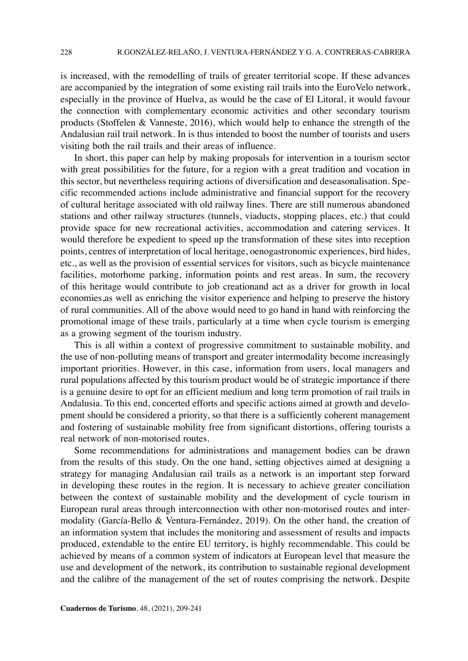is increased, with the remodelling of trails of greater territorial scope. If these advances are accompanied by the integration of some existing rail trails into the EuroVelo network, especially in the province of Huelva, as would be the case of El Litoral, it would favour the connection with complementary economic activities and other secondary tourism products (Stoffelen & Vanneste, 2016), which would help to enhance the strength of the Andalusian rail trail network. In is thus intended to boost the number of tourists and users visiting both the rail trails and their areas of influence.

In short, this paper can help by making proposals for intervention in a tourism sector with great possibilities for the future, for a region with a great tradition and vocation in this sector, but nevertheless requiring actions of diversification and deseasonalisation. Specific recommended actions include administrative and financial support for the recovery of cultural heritage associated with old railway lines. There are still numerous abandoned stations and other railway structures (tunnels, viaducts, stopping places, etc.) that could provide space for new recreational activities, accommodation and catering services. It would therefore be expedient to speed up the transformation of these sites into reception points, centres of interpretation of local heritage, oenogastronomic experiences, bird hides, etc., as well as the provision of essential services for visitors, such as bicycle maintenance facilities, motorhome parking, information points and rest areas. In sum, the recovery of this heritage would contribute to job creationand act as a driver for growth in local economies,as well as enriching the visitor experience and helping to preserve the history of rural communities. All of the above would need to go hand in hand with reinforcing the promotional image of these trails, particularly at a time when cycle tourism is emerging as a growing segment of the tourism industry.

This is all within a context of progressive commitment to sustainable mobility, and the use of non-polluting means of transport and greater intermodality become increasingly important priorities. However, in this case, information from users, local managers and rural populations affected by this tourism product would be of strategic importance if there is a genuine desire to opt for an efficient medium and long term promotion of rail trails in Andalusia. To this end, concerted efforts and specific actions aimed at growth and development should be considered a priority, so that there is a sufficiently coherent management and fostering of sustainable mobility free from significant distortions, offering tourists a real network of non-motorised routes.

Some recommendations for administrations and management bodies can be drawn from the results of this study. On the one hand, setting objectives aimed at designing a strategy for managing Andalusian rail trails as a network is an important step forward in developing these routes in the region. It is necessary to achieve greater conciliation between the context of sustainable mobility and the development of cycle tourism in European rural areas through interconnection with other non-motorised routes and intermodality (García-Bello & Ventura-Fernández, 2019). On the other hand, the creation of an information system that includes the monitoring and assessment of results and impacts produced, extendable to the entire EU territory, is highly recommendable. This could be achieved by means of a common system of indicators at European level that measure the use and development of the network, its contribution to sustainable regional development and the calibre of the management of the set of routes comprising the network. Despite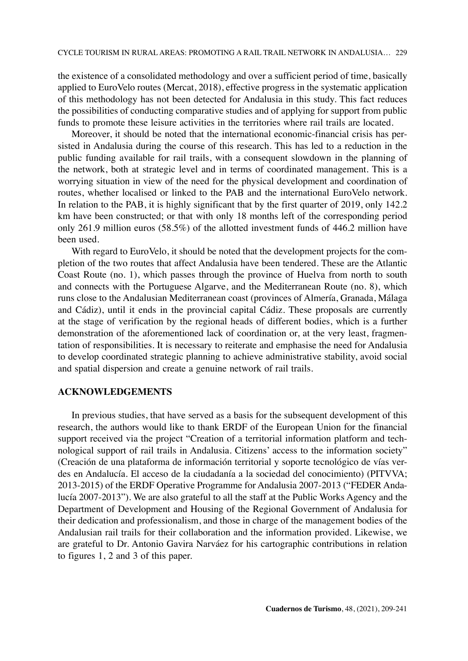the existence of a consolidated methodology and over a sufficient period of time, basically applied to EuroVelo routes (Mercat, 2018), effective progress in the systematic application of this methodology has not been detected for Andalusia in this study. This fact reduces the possibilities of conducting comparative studies and of applying for support from public funds to promote these leisure activities in the territories where rail trails are located.

Moreover, it should be noted that the international economic-financial crisis has persisted in Andalusia during the course of this research. This has led to a reduction in the public funding available for rail trails, with a consequent slowdown in the planning of the network, both at strategic level and in terms of coordinated management. This is a worrying situation in view of the need for the physical development and coordination of routes, whether localised or linked to the PAB and the international EuroVelo network. In relation to the PAB, it is highly significant that by the first quarter of 2019, only 142.2 km have been constructed; or that with only 18 months left of the corresponding period only 261.9 million euros (58.5%) of the allotted investment funds of 446.2 million have been used.

With regard to EuroVelo, it should be noted that the development projects for the completion of the two routes that affect Andalusia have been tendered. These are the Atlantic Coast Route (no. 1), which passes through the province of Huelva from north to south and connects with the Portuguese Algarve, and the Mediterranean Route (no. 8), which runs close to the Andalusian Mediterranean coast (provinces of Almería, Granada, Málaga and Cádiz), until it ends in the provincial capital Cádiz. These proposals are currently at the stage of verification by the regional heads of different bodies, which is a further demonstration of the aforementioned lack of coordination or, at the very least, fragmentation of responsibilities. It is necessary to reiterate and emphasise the need for Andalusia to develop coordinated strategic planning to achieve administrative stability, avoid social and spatial dispersion and create a genuine network of rail trails.

#### **ACKNOWLEDGEMENTS**

In previous studies, that have served as a basis for the subsequent development of this research, the authors would like to thank ERDF of the European Union for the financial support received via the project "Creation of a territorial information platform and technological support of rail trails in Andalusia. Citizens' access to the information society" (Creación de una plataforma de información territorial y soporte tecnológico de vías verdes en Andalucía. El acceso de la ciudadanía a la sociedad del conocimiento) (PITVVA; 2013-2015) of the ERDF Operative Programme for Andalusia 2007-2013 ("FEDER Andalucía 2007-2013"). We are also grateful to all the staff at the Public Works Agency and the Department of Development and Housing of the Regional Government of Andalusia for their dedication and professionalism, and those in charge of the management bodies of the Andalusian rail trails for their collaboration and the information provided. Likewise, we are grateful to Dr. Antonio Gavira Narváez for his cartographic contributions in relation to figures 1, 2 and 3 of this paper.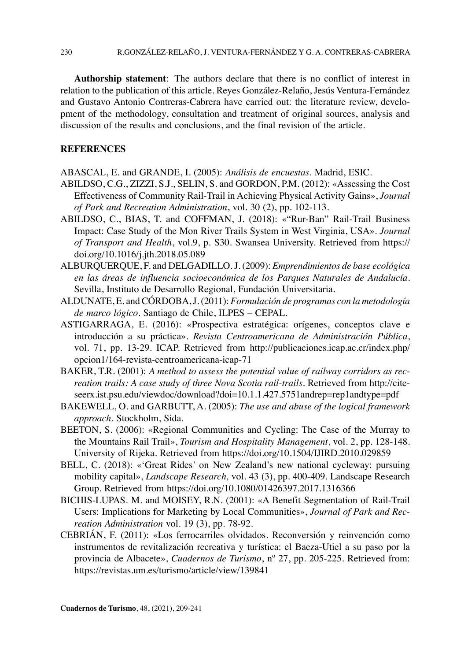**Authorship statement**: The authors declare that there is no conflict of interest in relation to the publication of this article. Reyes González-Relaño, Jesús Ventura-Fernández and Gustavo Antonio Contreras-Cabrera have carried out: the literature review, development of the methodology, consultation and treatment of original sources, analysis and discussion of the results and conclusions, and the final revision of the article.

## **REFERENCES**

ABASCAL, E. and GRANDE, I. (2005): *Análisis de encuestas*. Madrid, ESIC.

- ABILDSO, C.G., ZIZZI, S.J., SELIN, S. and GORDON, P.M. (2012): «Assessing the Cost Effectiveness of Community Rail-Trail in Achieving Physical Activity Gains», *Journal of Park and Recreation Administration*, vol. 30 (2), pp. 102-113.
- ABILDSO, C., BIAS, T. and COFFMAN, J. (2018): «"Rur-Ban" Rail-Trail Business Impact: Case Study of the Mon River Trails System in West Virginia, USA». *Journal of Transport and Health*, vol.9, p. S30. [Swansea University. Retrieved from](file:///C:\Users\Jesús%20Ventura\Downloads\%20Swansea%20University.%20%20Retrieved%20from) [https://](https://doi.org/10.1016/j.jth.2018.05.089) [doi.org/10.1016/j.jth.2018.05.089](https://doi.org/10.1016/j.jth.2018.05.089)
- ALBURQUERQUE, F. and DELGADILLO. J. (2009): *Emprendimientos de base ecológica*  en las áreas de influencia socioeconómica de los Parques Naturales de Andalucía. Sevilla, Instituto de Desarrollo Regional, Fundación Universitaria.
- ALDUNATE, E. and CÓRDOBA, J. (2011): *Formulación de programas con la metodología de marco lógico*. Santiago de Chile, ILPES – CEPAL.
- ASTIGARRAGA, E. (2016): «Prospectiva estratégica: orígenes, conceptos clave e introducción a su práctica». *Revista Centroamericana de Administración Pública*, vol. 71, pp. 13-29. ICAP. Retrieved from [http://publicaciones.icap.ac.cr/index.php/](http://publicaciones.icap.ac.cr/index.php/opcion1/164-revista-centroamericana-icap-71) [opcion1/164-revista-centroamericana-icap-71](http://publicaciones.icap.ac.cr/index.php/opcion1/164-revista-centroamericana-icap-71)
- BAKER, T.R. (2001): *A method to assess the potential value of railway corridors as recreation trails: A case study of three Nova Scotia rail-trails*. Retrieved from [http://cite](http://citeseerx.ist.psu.edu/viewdoc/download?doi=10.1.1.427.5751&rep=rep1&type=pdf)[seerx.ist.psu.edu/viewdoc/download?doi=10.1.1.427.5751andrep=rep1andtype=pdf](http://citeseerx.ist.psu.edu/viewdoc/download?doi=10.1.1.427.5751&rep=rep1&type=pdf)
- BAKEWELL, O. and GARBUTT, A. (2005): *The use and abuse of the logical framework approach*. Stockholm, Sida.
- BEETON, S. (2006): «Regional Communities and Cycling: The Case of the Murray to the Mountains Rail Trail», *Tourism and Hospitality Management*, vol. 2, pp. 128-148. University of Rijeka. Retrieved from <https://doi.org/10.1504/IJIRD.2010.029859>
- BELL, C. (2018): «'Great Rides' on New Zealand's new national cycleway: pursuing mobility capital», *Landscape Research,* vol. 43 (3), pp. 400-409. Landscape Research Group. Retrieved from <https://doi.org/10.1080/01426397.2017.1316366>
- BICHIS-LUPAS. M. and MOISEY, R.N. (2001): «A Benefit Segmentation of Rail-Trail Users: Implications for Marketing by Local Communities», *Journal of Park and Recreation Administration* vol. 19 (3), pp. 78-92.
- CEBRIÁN, F. (2011): «Los ferrocarriles olvidados. Reconversión y reinvención como instrumentos de revitalización recreativa y turística: el Baeza-Utiel a su paso por la provincia de Albacete», *Cuadernos de Turismo*, nº 27, pp. 205-225. Retrieved from: <https://revistas.um.es/turismo/article/view/139841>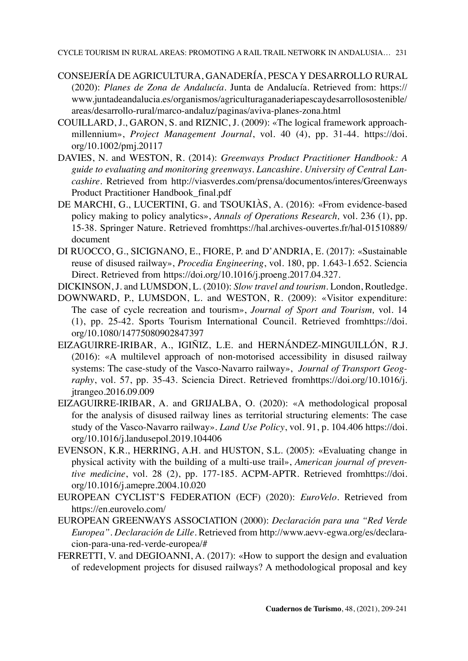- CONSEJERÍA DE AGRICULTURA, GANADERÍA, PESCA Y DESARROLLO RURAL (2020): *Planes de Zona de Andalucía*. Junta de Andalucía. Retrieved from: [https://](https://www.juntadeandalucia.es/organismos/agriculturaganaderiapescaydesarrollosostenible/areas/desarrollo-rural/marco-andaluz/paginas/aviva-planes-zona.html) [www.juntadeandalucia.es/organismos/agriculturaganaderiapescaydesarrollosostenible/](https://www.juntadeandalucia.es/organismos/agriculturaganaderiapescaydesarrollosostenible/areas/desarrollo-rural/marco-andaluz/paginas/aviva-planes-zona.html) [areas/desarrollo-rural/marco-andaluz/paginas/aviva-planes-zona.html](https://www.juntadeandalucia.es/organismos/agriculturaganaderiapescaydesarrollosostenible/areas/desarrollo-rural/marco-andaluz/paginas/aviva-planes-zona.html)
- COUILLARD, J., GARON, S. and RIZNIC, J. (2009): «The logical framework approachmillennium», *Project Management Journal*, vol. 40 (4), pp. 31-44. [https://doi.](https://doi.org/10.1002%2Fpmj.20117) [org/10.1002/pmj.20117](https://doi.org/10.1002%2Fpmj.20117)
- DAVIES, N. and WESTON, R. (2014): *Greenways Product Practitioner Handbook: A guide to evaluating and monitoring greenways. Lancashire. University of Central Lancashire.* Retrieved from [http://viasverdes.com/prensa/documentos/interes/Greenways](http://viasverdes.com/prensa/documentos/interes/GreenwaysProductPractitionerHandbook_final.pdf)  [Product Practitioner Handbook\\_final.pdf](http://viasverdes.com/prensa/documentos/interes/GreenwaysProductPractitionerHandbook_final.pdf)
- DE MARCHI, G., LUCERTINI, G. and TSOUKIÀS, A. (2016): «From evidence-based policy making to policy analytics», *Annals of Operations Research,* vol. 236 (1), pp. 15-38. Springer Nature. Retrieved fro[mhttps://hal.archives-ouvertes.fr/hal-01510889/](https://hal.archives-ouvertes.fr/hal-01510889/document) [document](https://hal.archives-ouvertes.fr/hal-01510889/document)
- DI RUOCCO, G., SICIGNANO, E., FIORE, P. and D'ANDRIA, E. (2017): «Sustainable reuse of disused railway», *Procedia Engineering*, vol. 180, pp. 1.643-1.652. [Sciencia](file:///C:\Users\Reyes\Downloads\Sciencia%20Direct.%20Retrieved%20from%20https:\doi.org\10.1016\j.proeng.2017.04.327)  [Direct. Retrieved from https://doi.org/10.1016/j.proeng.2017.04.327](file:///C:\Users\Reyes\Downloads\Sciencia%20Direct.%20Retrieved%20from%20https:\doi.org\10.1016\j.proeng.2017.04.327).
- DICKINSON, J. and LUMSDON, L. (2010): *Slow travel and tourism*. London, Routledge.
- DOWNWARD, P., LUMSDON, L. and WESTON, R. (2009): «Visitor expenditure: The case of cycle recreation and tourism», *Journal of Sport and Tourism,* vol. 14 (1), pp. 25-42. Sports Tourism International Council. Retrieved fromhttps://doi. org/[10.1080/14775080902847397](https://doi.org/10.1080/14775080902847397)
- EIZAGUIRRE-IRIBAR, A., IGIÑIZ, L.E. and HERNÁNDEZ-MINGUILLÓN, R.J. (2016): «A multilevel approach of non-motorised accessibility in disused railway systems: The case-study of the Vasco-Navarro railway», *Journal of Transport Geography*, vol. 57, pp. 35-43. Sciencia Direct. Retrieved fromhttps://doi.org/[10.1016/j.](https://doi.org/10.1016/j.jtrangeo.2016.09.009) [jtrangeo.2016.09.009](https://doi.org/10.1016/j.jtrangeo.2016.09.009)
- EIZAGUIRRE-IRIBAR, A. and GRIJALBA, O. (2020): «A methodological proposal for the analysis of disused railway lines as territorial structuring elements: The case study of the Vasco-Navarro railway». *Land Use Policy*, vol. 91, p. 104.406 [https://doi.](https://doi.org/10.1016/j.landusepol.2019.104406) [org/10.1016/j.landusepol.2019.104406](https://doi.org/10.1016/j.landusepol.2019.104406)
- EVENSON, K.R., HERRING, A.H. and HUSTON, S.L. (2005): «Evaluating change in physical activity with the building of a multi-use trail», *American journal of preventive medicine*, vol. 28 (2), pp. 177-185. ACPM-APTR. Retrieved fromhttps://doi. org/[10.1016/j.amepre.2004.10.020](https://doi.org/10.1016/j.amepre.2004.10.020)
- EUROPEAN CYCLIST'S FEDERATION (ECF) (2020): *EuroVelo.* Retrieved from <https://en.eurovelo.com/>
- EUROPEAN GREENWAYS ASSOCIATION (2000): *Declaración para una "Red Verde Europea". Declaración de Lille.* Retrieved from [http://www.aevv-egwa.org/es/declara](http://www.aevv-egwa.org/es/declaracion-para-una-red-verde-europea/)[cion-para-una-red-verde-europea/#](http://www.aevv-egwa.org/es/declaracion-para-una-red-verde-europea/)
- FERRETTI, V. and DEGIOANNI, A. (2017): «How to support the design and evaluation of redevelopment projects for disused railways? A methodological proposal and key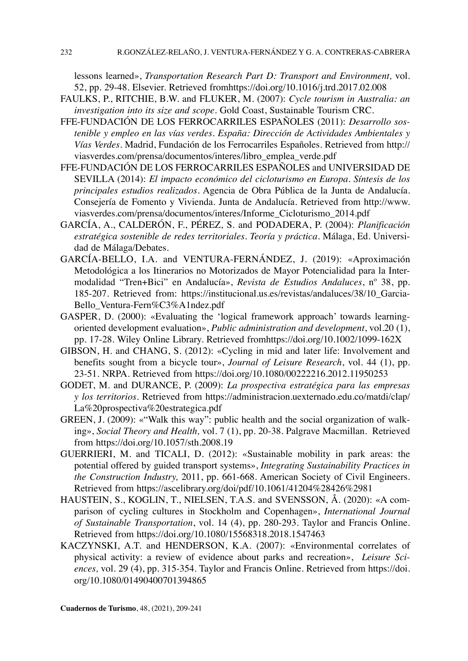lessons learned», *Transportation Research Part D: Transport and Environment,* vol. 52, pp. 29-48. Elsevier. Retrieved fromhttps://doi.org[/10.1016/j.trd.2017.02.008](https://doi.org/10.1016/j.trd.2017.02.008)

- FAULKS, P., RITCHIE, B.W. and FLUKER, M. (2007): *Cycle tourism in Australia: an investigation into its size and scope*. Gold Coast, Sustainable Tourism CRC.
- FFE-FUNDACIÓN DE LOS FERROCARRILES ESPAÑOLES (2011): *Desarrollo sostenible y empleo en las vías verdes. España: Dirección de Actividades Ambientales y Vías Verdes*. Madrid, Fundación de los Ferrocarriles Españoles. Retrieved from [http://](http://viasverdes.com/prensa/documentos/interes/libro_emplea_verde.pdf) [viasverdes.com/prensa/documentos/interes/libro\\_emplea\\_verde.pdf](http://viasverdes.com/prensa/documentos/interes/libro_emplea_verde.pdf)
- FFE-FUNDACIÓN DE LOS FERROCARRILES ESPAÑOLES and UNIVERSIDAD DE SEVILLA (2014): *El impacto económico del cicloturismo en Europa. Síntesis de los principales estudios realizados*. Agencia de Obra Pública de la Junta de Andalucía. Consejería de Fomento y Vivienda. Junta de Andalucía. Retrieved from [http://www.](http://www.viasverdes.com/prensa/documentos/interes/Informe_Cicloturismo_2014.pdf) [viasverdes.com/prensa/documentos/interes/Informe\\_Cicloturismo\\_2014.pdf](http://www.viasverdes.com/prensa/documentos/interes/Informe_Cicloturismo_2014.pdf)
- GARCÍA, A., CALDERÓN, F., PÉREZ, S. and PODADERA, P. (2004): *Planificación estratégica sostenible de redes territoriales. Teoría y práctica.* Málaga, Ed. Universidad de Málaga/Debates.
- GARCÍA-BELLO, I.A. and VENTURA-FERNÁNDEZ, J. (2019): «Aproximación Metodológica a los Itinerarios no Motorizados de Mayor Potencialidad para la Intermodalidad "Tren+Bici" en Andalucía», *Revista de Estudios Andaluces*, nº 38, pp. 185-207. Retrieved from: [https://institucional.us.es/revistas/andaluces/38/10\\_Garcia-](https://institucional.us.es/revistas/andaluces/38/10_Garcia-Bello_Ventura-Fern%C3%A1ndez.pdf)[Bello\\_Ventura-Fern%C3%A1ndez.pdf](https://institucional.us.es/revistas/andaluces/38/10_Garcia-Bello_Ventura-Fern%C3%A1ndez.pdf)
- GASPER, D. (2000): «Evaluating the 'logical framework approach' towards learningoriented development evaluation», *Public administration and development*, vol.20 (1), pp. 17-28. Wiley Online Library. Retrieved fromhttps://doi.org[/10.1002/1099-162X](https://doi.org/10.1002/1099-162X%28200002%2920:1%3C17::AID-PAD89%3E3.0.CO;2-5)
- GIBSON, H. and CHANG, S. (2012): «Cycling in mid and later life: Involvement and benefits sought from a bicycle tour», *Journal of Leisure Research*, vol. 44 (1), pp. 23-51. NRPA. Retrieved from <https://doi.org/10.1080/00222216.2012.11950253>
- GODET, M. and DURANCE, P. (2009): *La prospectiva estratégica para las empresas y los territorios.* Retrieved from [https://administracion.uexternado.edu.co/matdi/clap/](https://administracion.uexternado.edu.co/matdi/clap/La%20prospectiva%20estrategica.pdf) [La%20prospectiva%20estrategica.pdf](https://administracion.uexternado.edu.co/matdi/clap/La%20prospectiva%20estrategica.pdf)
- GREEN, J. (2009): «"Walk this way": public health and the social organization of walking», *Social Theory and Health,* vol. 7 (1), pp. 20-38. Palgrave Macmillan. Retrieved from <https://doi.org/10.1057/sth.2008.19>
- GUERRIERI, M. and TICALI, D. (2012): «Sustainable mobility in park areas: the potential offered by guided transport systems», *Integrating Sustainability Practices in the Construction Industry,* 2011, pp. 661-668. American Society of Civil Engineers. Retrieved from <https://ascelibrary.org/doi/pdf/10.1061/41204%28426%2981>
- HAUSTEIN, S., KOGLIN, T., NIELSEN, T.A.S. and SVENSSON, Å. (2020): «A comparison of cycling cultures in Stockholm and Copenhagen», *International Journal of Sustainable Transportation*, vol. 14 (4), pp. 280-293. [Taylor and Francis Online.](file:///C:\Users\Reyes\Downloads\Taylor%20&%20Francis%20Online.%20Retrieved%20from%20https:\doi.org\10.1080\15568318.2018.1547463) [Retrieved from https://doi.org/10.1080/15568318.2018.1547463](file:///C:\Users\Reyes\Downloads\Taylor%20&%20Francis%20Online.%20Retrieved%20from%20https:\doi.org\10.1080\15568318.2018.1547463)
- KACZYNSKI, A.T. and HENDERSON, K.A. (2007): «Environmental correlates of physical activity: a review of evidence about parks and recreation», *Leisure Sciences,* vol. 29 (4), pp. 315-354. Taylor and Francis Online. Retrieved from [https://doi.](https://doi.org/10.1080/01490400701394865) [org/10.1080/01490400701394865](https://doi.org/10.1080/01490400701394865)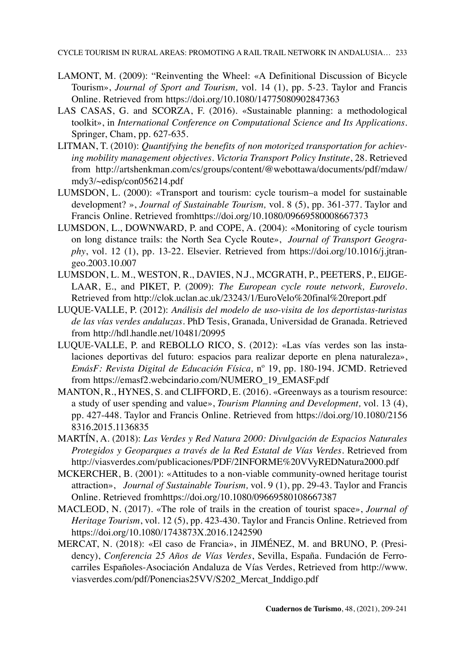CYCLE TOURISM IN RURAL AREAS: PROMOTING A RAIL TRAIL NETWORK IN ANDALUSIA… 233

- LAMONT, M. (2009): "Reinventing the Wheel: «A Definitional Discussion of Bicycle Tourism», *Journal of Sport and Tourism,* vol. 14 (1), pp. 5-23. Taylor and Francis Online. Retrieved from <https://doi.org/10.1080/14775080902847363>
- LAS CASAS, G. and SCORZA, F. (2016). «Sustainable planning: a methodological toolkit», in *International Conference on Computational Science and Its Applications*. Springer, Cham, pp. 627-635.
- LITMAN, T. (2010): *Quantifying the benefits of non motorized transportation for achieving mobility management objectives*. *Victoria Transport Policy Institute*, 28. Retrieved from [http://artshenkman.com/cs/groups/content/@webottawa/documents/pdf/mdaw/](http://artshenkman.com/cs/groups/content/@webottawa/documents/pdf/mdaw/mdy3/~edisp/con056214.pdf) [mdy3/~edisp/con056214.pdf](http://artshenkman.com/cs/groups/content/@webottawa/documents/pdf/mdaw/mdy3/~edisp/con056214.pdf)
- LUMSDON, L. (2000): «Transport and tourism: cycle tourism–a model for sustainable development? », *Journal of Sustainable Tourism,* vol. 8 (5), pp. 361-377. Taylor and Francis Online. Retrieved fromhttps://doi.org[/10.1080/09669580008667373](https://doi.org/10.1080/09669580008667373)
- LUMSDON, L., DOWNWARD, P. and COPE, A. (2004): «Monitoring of cycle tourism on long distance trails: the North Sea Cycle Route», *Journal of Transport Geography*, vol. 12 (1), pp. 13-22. Elsevier. Retrieved from https://doi.org[/10.1016/j.jtran](https://doi.org/10.1016/j.jtrangeo.2003.10.007)[geo.2003.10.007](https://doi.org/10.1016/j.jtrangeo.2003.10.007)
- LUMSDON, L. M., WESTON, R., DAVIES, N.J., MCGRATH, P., PEETERS, P., EIJGE-LAAR, E., and PIKET, P. (2009): *The European cycle route network, Eurovelo*. Retrieved from <http://clok.uclan.ac.uk/23243/1/EuroVelo%20final%20report.pdf>
- LUQUE-VALLE, P. (2012): *Análisis del modelo de uso-visita de los deportistas-turistas de las vías verdes andaluzas*. PhD Tesis, Granada, Universidad de Granada. Retrieved from <http://hdl.handle.net/10481/20995>
- LUQUE-VALLE, P. and REBOLLO RICO, S. (2012): «Las vías verdes son las instalaciones deportivas del futuro: espacios para realizar deporte en plena naturaleza», *EmásF: Revista Digital de Educación Física,* nº 19, pp. 180-194. JCMD. Retrieved from [https://emasf2.webcindario.com/NUMERO\\_19\\_EMASF.pdf](https://emasf2.webcindario.com/NUMERO_19_EMASF.pdf)
- MANTON, R., HYNES, S. and CLIFFORD, E. (2016). «Greenways as a tourism resource: a study of user spending and value», *Tourism Planning and Development,* vol. 13 (4), pp. 427-448. Taylor and Francis Online. Retrieved from [https://doi.org/10.1080/2156](https://doi.org/10.1080/21568316.2015.1136835) [8316.2015.1136835](https://doi.org/10.1080/21568316.2015.1136835)
- MARTÍN, A. (2018): *Las Verdes y Red Natura 2000: Divulgación de Espacios Naturales Protegidos y Geoparques a través de la Red Estatal de Vías Verdes*. Retrieved from <http://viasverdes.com/publicaciones/PDF/2INFORME%20VVyREDNatura2000.pdf>
- MCKERCHER, B. (2001): «Attitudes to a non-viable community-owned heritage tourist attraction», *Journal of Sustainable Tourism,* vol. 9 (1), pp. 29-43. Taylor and Francis Online. Retrieved fromhttps://doi.org/[10.1080/09669580108667387](https://doi.org/10.1080/09669580108667387)
- MACLEOD, N. (2017). «The role of trails in the creation of tourist space», *Journal of Heritage Tourism*, vol. 12 (5), pp. 423-430. Taylor and Francis Online. Retrieved from <https://doi.org/10.1080/1743873X.2016.1242590>
- MERCAT, N. (2018): «El caso de Francia», in JIMÉNEZ, M. and BRUNO, P. (Presidency), *Conferencia 25 Años de Vías Verdes*, Sevilla, España. Fundación de Ferrocarriles Españoles-Asociación Andaluza de Vías Verdes, Retrieved from [http://www.](http://www.viasverdes.com/pdf/Ponencias25VV/S202_Mercat_Inddigo.pdf) [viasverdes.com/pdf/Ponencias25VV/S202\\_Mercat\\_Inddigo.pdf](http://www.viasverdes.com/pdf/Ponencias25VV/S202_Mercat_Inddigo.pdf)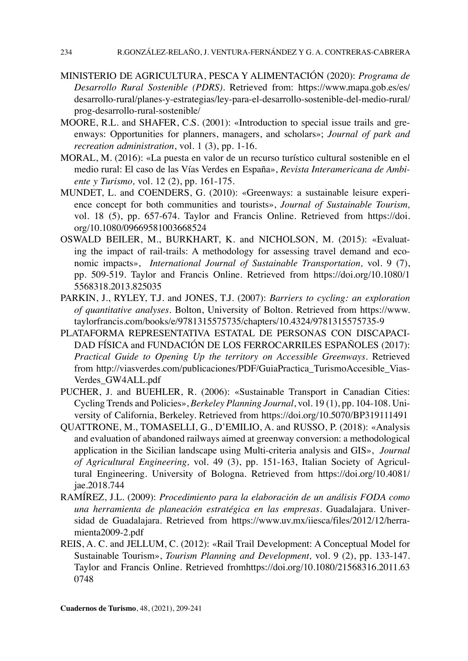- MINISTERIO DE AGRICULTURA, PESCA Y ALIMENTACIÓN (2020): *Programa de Desarrollo Rural Sostenible (PDRS)*. Retrieved from: [https://www.mapa.gob.es/es/](https://www.mapa.gob.es/es/desarrollo-rural/planes-y-estrategias/ley-para-el-desarrollo-sostenible-del-medio-rural/prog-desarrollo-rural-sostenible/) [desarrollo-rural/planes-y-estrategias/ley-para-el-desarrollo-sostenible-del-medio-rural/](https://www.mapa.gob.es/es/desarrollo-rural/planes-y-estrategias/ley-para-el-desarrollo-sostenible-del-medio-rural/prog-desarrollo-rural-sostenible/) [prog-desarrollo-rural-sostenible/](https://www.mapa.gob.es/es/desarrollo-rural/planes-y-estrategias/ley-para-el-desarrollo-sostenible-del-medio-rural/prog-desarrollo-rural-sostenible/)
- MOORE, R.L. and SHAFER, C.S. (2001): «Introduction to special issue trails and greenways: Opportunities for planners, managers, and scholars»; *Journal of park and recreation administration*, vol. 1 (3), pp. 1-16.
- MORAL, M. (2016): «La puesta en valor de un recurso turístico cultural sostenible en el medio rural: El caso de las Vías Verdes en España», *Revista Interamericana de Ambiente y Turismo,* vol. 12 (2), pp. 161-175.
- MUNDET, L. and COENDERS, G. (2010): «Greenways: a sustainable leisure experience concept for both communities and tourists», *Journal of Sustainable Tourism,* vol. 18 (5), pp. 657-674. Taylor and Francis Online. Retrieved from [https://doi.](https://doi.org/10.1080/09669581003668524) [org/10.1080/09669581003668524](https://doi.org/10.1080/09669581003668524)
- OSWALD BEILER, M., BURKHART, K. and NICHOLSON, M. (2015): «Evaluating the impact of rail-trails: A methodology for assessing travel demand and economic impacts», *International Journal of Sustainable Transportation,* vol. 9 (7), pp. 509-519. Taylor and Francis Online. Retrieved from https://doi.org[/10.1080/1](https://doi.org/10.1080/15568318.2013.825035) [5568318.2013.825035](https://doi.org/10.1080/15568318.2013.825035)
- PARKIN, J., RYLEY, T.J. and JONES, T.J. (2007): *Barriers to cycling: an exploration of quantitative analyses.* Bolton, University of Bolton. Retrieved from [https://www.](https://www.taylorfrancis.com/books/e/9781315575735/chapters/10.4324/9781315575735-9) [taylorfrancis.com/books/e/9781315575735/chapters/10.4324/9781315575735-9](https://www.taylorfrancis.com/books/e/9781315575735/chapters/10.4324/9781315575735-9)
- PLATAFORMA REPRESENTATIVA ESTATAL DE PERSONAS CON DISCAPACI-DAD FÍSICA and FUNDACIÓN DE LOS FERROCARRILES ESPAÑOLES (2017): *Practical Guide to Opening Up the territory on Accessible Greenways.* Retrieved from [http://viasverdes.com/publicaciones/PDF/GuiaPractica\\_TurismoAccesible\\_Vias-](http://viasverdes.com/publicaciones/PDF/GuiaPractica_TurismoAccesible_ViasVerdes_GW4ALL.pdf)[Verdes\\_GW4ALL.pdf](http://viasverdes.com/publicaciones/PDF/GuiaPractica_TurismoAccesible_ViasVerdes_GW4ALL.pdf)
- PUCHER, J. and BUEHLER, R. (2006): «Sustainable Transport in Canadian Cities: Cycling Trends and Policies», *Berkeley Planning Journal*, vol. 19 (1), pp. 104-108. University of California, Berkeley. Retrieved from <https://doi.org/10.5070/BP319111491>
- QUATTRONE, M., TOMASELLI, G., D'EMILIO, A. and RUSSO, P. (2018): «Analysis and evaluation of abandoned railways aimed at greenway conversion: a methodological application in the Sicilian landscape using Multi-criteria analysis and GIS», *Journal of Agricultural Engineering,* vol. 49 (3), pp. 151-163, [Italian Society of Agricul](http://www.aiia.it/)[tural Engineering](http://www.aiia.it/). University of Bologna. Retrieved from [https://doi.org/10.4081/](https://doi.org/10.4081/jae.2018.744) [jae.2018.744](https://doi.org/10.4081/jae.2018.744)
- RAMÍREZ, J.L. (2009): *Procedimiento para la elaboración de un análisis FODA como una herramienta de planeación estratégica en las empresas*. Guadalajara. Universidad de Guadalajara. Retrieved from [https://www.uv.mx/iiesca/files/2012/12/herra](https://www.uv.mx/iiesca/files/2012/12/herramienta2009-2.pdf%20%20%20)[mienta2009-2.pdf](https://www.uv.mx/iiesca/files/2012/12/herramienta2009-2.pdf%20%20%20)
- REIS, A. C. and JELLUM, C. (2012): «Rail Trail Development: A Conceptual Model for Sustainable Tourism», *Tourism Planning and Development,* vol. 9 (2), pp. 133-147. Taylor and Francis Online. Retrieved fro[mhttps://doi.org/10.1080/21568316.2011.63](https://doi.org/10.1080/21568316.2011.630748) [0748](https://doi.org/10.1080/21568316.2011.630748)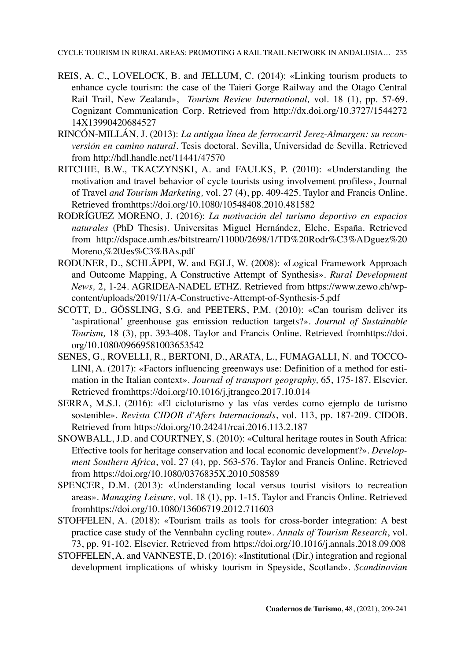- REIS, A. C., LOVELOCK, B. and JELLUM, C. (2014): «Linking tourism products to enhance cycle tourism: the case of the Taieri Gorge Railway and the Otago Central Rail Trail, New Zealand», *Tourism Review International,* vol. 18 (1), pp. 57-69. Cognizant Communication Corp. Retrieved from [http://dx.doi.org/10.3727/1544272](http://dx.doi.org/10.3727/154427214X13990420684527) [14X13990420684527](http://dx.doi.org/10.3727/154427214X13990420684527)
- RINCÓN-MILLÁN, J. (2013): *La antigua línea de ferrocarril Jerez-Almargen: su reconversión en camino natural.* Tesis doctoral. Sevilla, Universidad de Sevilla. Retrieved from <http://hdl.handle.net/11441/47570>
- RITCHIE, B.W., TKACZYNSKI, A. and FAULKS, P. (2010): «Understanding the motivation and travel behavior of cycle tourists using involvement profiles», Journal of Travel *and Tourism Marketing,* vol. 27 (4), pp. 409-425. [Taylor and Francis Online.](https://doi.org/10.1080/10548408.2010.481582)  [Retrieved fromhttps://doi.org/10.1080/10548408.2010.481582](https://doi.org/10.1080/10548408.2010.481582)
- RODRÍGUEZ MORENO, J. (2016): *La motivación del turismo deportivo en espacios naturales* (PhD Thesis). Universitas Miguel Hernández, Elche, España. Retrieved from [http://dspace.umh.es/bitstream/11000/2698/1/TD%20Rodr%C3%ADguez%20](http://dspace.umh.es/bitstream/11000/2698/1/TD%20Rodr%C3%ADguez%20Moreno,%20Jes%C3%BAs.pdf) [Moreno,%20Jes%C3%BAs.pdf](http://dspace.umh.es/bitstream/11000/2698/1/TD%20Rodr%C3%ADguez%20Moreno,%20Jes%C3%BAs.pdf)
- RODUNER, D., SCHLÄPPI, W. and EGLI, W. (2008): «Logical Framework Approach and Outcome Mapping, A Constructive Attempt of Synthesis». *Rural Development News,* 2, 1-24. AGRIDEA-NADEL ETHZ. Retrieved from [https://www.zewo.ch/wp](https://www.zewo.ch/wp-content/uploads/2019/11/A-Constructive-Attempt-of-Synthesis-5.pdf)[content/uploads/2019/11/A-Constructive-Attempt-of-Synthesis-5.pdf](https://www.zewo.ch/wp-content/uploads/2019/11/A-Constructive-Attempt-of-Synthesis-5.pdf)
- SCOTT, D., GÖSSLING, S.G. and PEETERS, P.M. (2010): «Can tourism deliver its 'aspirational' greenhouse gas emission reduction targets?». *Journal of Sustainable Tourism,* 18 (3), pp. 393-408. Taylor and Francis Online. Retrieved fromhttps://doi. org/[10.1080/09669581003653542](https://doi.org/10.1080/09669581003653542)
- SENES, G., ROVELLI, R., BERTONI, D., ARATA, L., FUMAGALLI, N. and TOCCO-LINI, A. (2017): «Factors influencing greenways use: Definition of a method for estimation in the Italian context». *Journal of transport geography,* 65, 175-187. Elsevier. Retrieved fromhttps://doi.org[/10.1016/j.jtrangeo.2017.10.014](https://doi.org/10.1016/j.jtrangeo.2017.10.014)
- SERRA, M.S.I. (2016): «El cicloturismo y las vías verdes como ejemplo de turismo sostenible». *Revista CIDOB d'Afers Internacionals*, vol. 113, pp. 187-209. CIDOB. Retrieved from <https://doi.org/10.24241/rcai.2016.113.2.187>
- SNOWBALL, J.D. and COURTNEY, S. (2010): «Cultural heritage routes in South Africa: Effective tools for heritage conservation and local economic development?». *Development Southern Africa*, vol. 27 (4), pp. 563-576. Taylor and Francis Online. Retrieved from <https://doi.org/10.1080/0376835X.2010.508589>
- SPENCER, D.M. (2013): «Understanding local versus tourist visitors to recreation areas». *Managing Leisure*, vol. 18 (1), pp. 1-15. Taylor and Francis Online. Retrieved fromhttps://doi.org[/10.1080/13606719.2012.711603](https://doi.org/10.1080/13606719.2012.711603)
- STOFFELEN, A. (2018): «Tourism trails as tools for cross-border integration: A best practice case study of the Vennbahn cycling route». *Annals of Tourism Research*, vol. 73, pp. 91-102. Elsevier. Retrieved from <https://doi.org/10.1016/j.annals.2018.09.008>
- STOFFELEN, A. and VANNESTE, D. (2016): «Institutional (Dir.) integration and regional development implications of whisky tourism in Speyside, Scotland». *Scandinavian*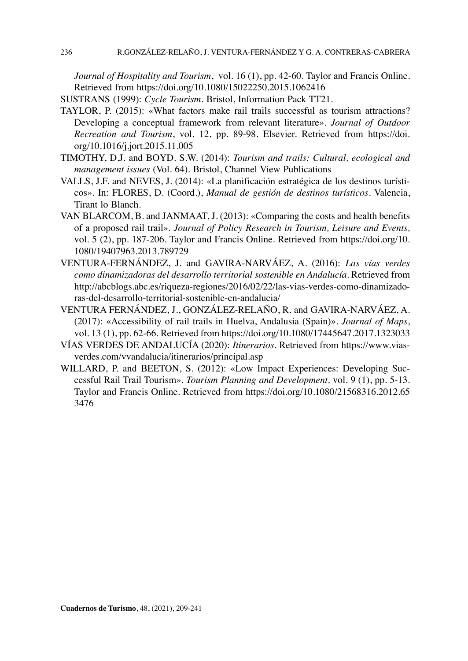*Journal of Hospitality and Tourism*, vol. 16 (1), pp. 42-60. Taylor and Francis Online. Retrieved from <https://doi.org/10.1080/15022250.2015.1062416>

SUSTRANS (1999): *Cycle Tourism.* Bristol, Information Pack TT21.

- TAYLOR, P. (2015): «What factors make rail trails successful as tourism attractions? Developing a conceptual framework from relevant literature». *Journal of Outdoor Recreation and Tourism*, vol. 12, pp. 89-98. Elsevier. Retrieved from https://doi. org[/10.1016/j.jort.2015.11.005](https://doi.org/10.1016/j.jort.2015.11.005)
- TIMOTHY, D.J. and BOYD. S.W. (2014): *Tourism and trails: Cultural, ecological and management issues* (Vol. 64). Bristol, Channel View Publications
- VALLS, J.F. and NEVES, J. (2014): «La planificación estratégica de los destinos turísticos». In: FLORES, D. (Coord.), *Manual de gestión de destinos turísticos*. Valencia, Tirant lo Blanch.
- VAN BLARCOM, B. and JANMAAT, J. (2013): «Comparing the costs and health benefits of a proposed rail trail». *Journal of Policy Research in Tourism, Leisure and Events,* vol. 5 (2), pp. 187-206. Taylor and Francis Online. Retrieved from [https://doi.org/10.](https://doi.org/10.1080/19407963.2013.789729) [1080/19407963.2013.789729](https://doi.org/10.1080/19407963.2013.789729)
- VENTURA-FERNÁNDEZ, J. and GAVIRA-NARVÁEZ, A. (2016): *Las vías verdes como dinamizadoras del desarrollo territorial sostenible en Andalucía*. Retrieved from [http://abcblogs.abc.es/riqueza-regiones/2016/02/22/las-vias-verdes-como-dinamizado](http://abcblogs.abc.es/riqueza-regiones/2016/02/22/las-vias-verdes-como-dinamizadoras-del-desarrollo-territorial-sostenible-en-andalucia/)[ras-del-desarrollo-territorial-sostenible-en-andalucia/](http://abcblogs.abc.es/riqueza-regiones/2016/02/22/las-vias-verdes-como-dinamizadoras-del-desarrollo-territorial-sostenible-en-andalucia/)
- VENTURA FERNÁNDEZ, J., GONZÁLEZ-RELAÑO, R. and GAVIRA-NARVÁEZ, A. (2017): «Accessibility of rail trails in Huelva, Andalusia (Spain)». *Journal of Maps*, vol. 13 (1), pp. 62-66. Retrieved from<https://doi.org/10.1080/17445647.2017.1323033>
- VÍAS VERDES DE ANDALUCÍA (2020): *Itinerarios.* Retrieved from [https://www.vias](https://www.viasverdes.com/vvandalucia/itinerarios/principal.asp)[verdes.com/vvandalucia/itinerarios/principal.asp](https://www.viasverdes.com/vvandalucia/itinerarios/principal.asp)
- WILLARD, P. and BEETON, S. (2012): «Low Impact Experiences: Developing Successful Rail Trail Tourism». *Tourism Planning and Development,* vol. 9 (1), pp. 5-13. Taylor and Francis Online. Retrieved from [https://doi.org/10.1080/21568316.2012.65](https://doi.org/10.1080/21568316.2012.653476) [3476](https://doi.org/10.1080/21568316.2012.653476)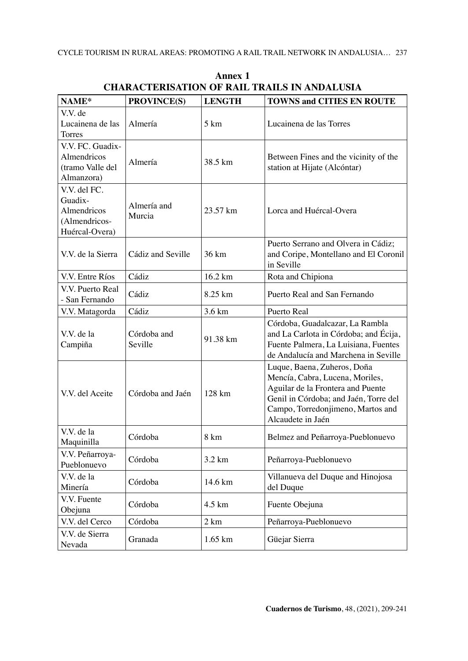| NAME*                                                                     | PROVINCE(S)            | <b>LENGTH</b>     | <b>TOWNS and CITIES EN ROUTE</b>                                                                                                                                                                       |
|---------------------------------------------------------------------------|------------------------|-------------------|--------------------------------------------------------------------------------------------------------------------------------------------------------------------------------------------------------|
| V.V. de<br>Lucainena de las<br>Torres                                     | Almería                | 5 km              | Lucainena de las Torres                                                                                                                                                                                |
| V.V. FC. Guadix-<br>Almendricos<br>(tramo Valle del<br>Almanzora)         | Almería                | 38.5 km           | Between Fines and the vicinity of the<br>station at Hijate (Alcóntar)                                                                                                                                  |
| V.V. del FC.<br>Guadix-<br>Almendricos<br>(Almendricos-<br>Huércal-Overa) | Almería and<br>Murcia  | 23.57 km          | Lorca and Huércal-Overa                                                                                                                                                                                |
| V.V. de la Sierra                                                         | Cádiz and Seville      | 36 km             | Puerto Serrano and Olvera in Cádiz;<br>and Coripe, Montellano and El Coronil<br>in Seville                                                                                                             |
| V.V. Entre Ríos                                                           | Cádiz                  | 16.2 km           | Rota and Chipiona                                                                                                                                                                                      |
| V.V. Puerto Real<br>- San Fernando                                        | Cádiz                  | 8.25 km           | Puerto Real and San Fernando                                                                                                                                                                           |
| V.V. Matagorda                                                            | Cádiz                  | 3.6 km            | Puerto Real                                                                                                                                                                                            |
| V.V. de la<br>Campiña                                                     | Córdoba and<br>Seville | 91.38 km          | Córdoba, Guadalcazar, La Rambla<br>and La Carlota in Córdoba; and Écija,<br>Fuente Palmera, La Luisiana, Fuentes<br>de Andalucía and Marchena in Seville                                               |
| V.V. del Aceite                                                           | Córdoba and Jaén       | 128 km            | Luque, Baena, Zuheros, Doña<br>Mencía, Cabra, Lucena, Moriles,<br>Aguilar de la Frontera and Puente<br>Genil in Córdoba; and Jaén, Torre del<br>Campo, Torredonjimeno, Martos and<br>Alcaudete in Jaén |
| V.V. de la<br>Maquinilla                                                  | Córdoba                | 8 km              | Belmez and Peñarroya-Pueblonuevo                                                                                                                                                                       |
| V.V. Peñarroya-<br>Pueblonuevo                                            | Córdoba                | $3.2 \text{ km}$  | Peñarroya-Pueblonuevo                                                                                                                                                                                  |
| V.V. de la<br>Minería                                                     | Córdoba                | $14.6 \text{ km}$ | Villanueva del Duque and Hinojosa<br>del Duque                                                                                                                                                         |
| V.V. Fuente<br>Obejuna                                                    | Córdoba                | $4.5 \text{ km}$  | Fuente Obejuna                                                                                                                                                                                         |
| V.V. del Cerco                                                            | Córdoba                | 2 km              | Peñarroya-Pueblonuevo                                                                                                                                                                                  |
| V.V. de Sierra<br>Nevada                                                  | Granada                | $1.65$ km         | Güejar Sierra                                                                                                                                                                                          |

**Annex 1 CHARACTERISATION OF RAIL TRAILS IN ANDALUSIA**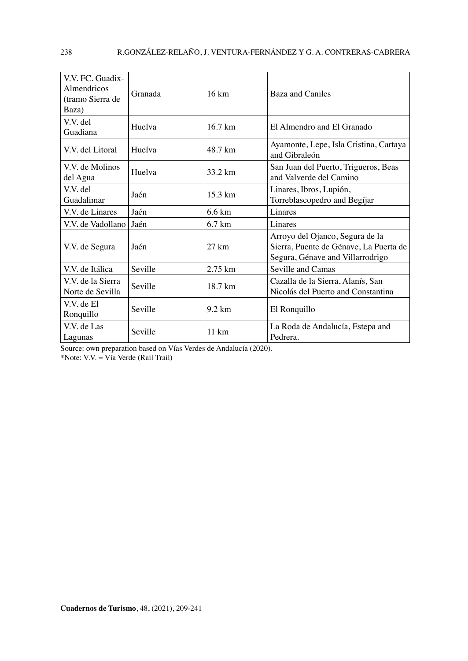| V.V. FC. Guadix-<br>Almendricos<br>(tramo Sierra de<br>Baza) | Granada | 16 km             | Baza and Caniles                                                                                              |
|--------------------------------------------------------------|---------|-------------------|---------------------------------------------------------------------------------------------------------------|
| V.V. del<br>Guadiana                                         | Huelva  | $16.7 \text{ km}$ | El Almendro and El Granado                                                                                    |
| V.V. del Litoral                                             | Huelva  | 48.7 km           | Ayamonte, Lepe, Isla Cristina, Cartaya<br>and Gibraleón                                                       |
| V.V. de Molinos<br>del Agua                                  | Huelva  | 33.2 km           | San Juan del Puerto, Trigueros, Beas<br>and Valverde del Camino                                               |
| V.V. del<br>Guadalimar                                       | Jaén    | $15.3 \text{ km}$ | Linares, Ibros, Lupión,<br>Torreblascopedro and Begíjar                                                       |
| V.V. de Linares                                              | Jaén    | 6.6 km            | Linares                                                                                                       |
| V.V. de Vadollano                                            | Jaén    | $6.7 \text{ km}$  | Linares                                                                                                       |
| V.V. de Segura                                               | Jaén    | $27 \text{ km}$   | Arroyo del Ojanco, Segura de la<br>Sierra, Puente de Génave, La Puerta de<br>Segura, Génave and Villarrodrigo |
| V.V. de Itálica                                              | Seville | $2.75 \text{ km}$ | Seville and Camas                                                                                             |
| V.V. de la Sierra<br>Norte de Sevilla                        | Seville | 18.7 km           | Cazalla de la Sierra, Alanís, San<br>Nicolás del Puerto and Constantina                                       |
| V.V. de El<br>Ronquillo                                      | Seville | $9.2 \text{ km}$  | El Ronquillo                                                                                                  |
| V.V. de Las<br>Lagunas                                       | Seville | $11 \text{ km}$   | La Roda de Andalucía, Estepa and<br>Pedrera.                                                                  |

Source: own preparation based on Vías Verdes de Andalucía (2020).

\*Note: V.V. = Vía Verde (Rail Trail)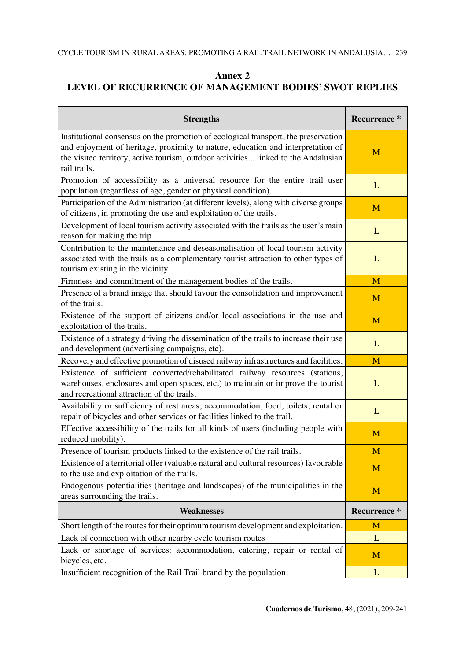# **Annex 2 LEVEL OF RECURRENCE OF MANAGEMENT BODIES' SWOT REPLIES**

| <b>Strengths</b>                                                                                                                                                                                                                                                            | <b>Recurrence</b> * |
|-----------------------------------------------------------------------------------------------------------------------------------------------------------------------------------------------------------------------------------------------------------------------------|---------------------|
| Institutional consensus on the promotion of ecological transport, the preservation<br>and enjoyment of heritage, proximity to nature, education and interpretation of<br>the visited territory, active tourism, outdoor activities linked to the Andalusian<br>rail trails. | M                   |
| Promotion of accessibility as a universal resource for the entire trail user<br>population (regardless of age, gender or physical condition).                                                                                                                               | L                   |
| Participation of the Administration (at different levels), along with diverse groups<br>of citizens, in promoting the use and exploitation of the trails.                                                                                                                   | M                   |
| Development of local tourism activity associated with the trails as the user's main<br>reason for making the trip.                                                                                                                                                          | L                   |
| Contribution to the maintenance and deseasonalisation of local tourism activity<br>associated with the trails as a complementary tourist attraction to other types of<br>tourism existing in the vicinity.                                                                  | L                   |
| Firmness and commitment of the management bodies of the trails.                                                                                                                                                                                                             | M                   |
| Presence of a brand image that should favour the consolidation and improvement<br>of the trails.                                                                                                                                                                            | M                   |
| Existence of the support of citizens and/or local associations in the use and<br>exploitation of the trails.                                                                                                                                                                | M                   |
| Existence of a strategy driving the dissemination of the trails to increase their use<br>and development (advertising campaigns, etc).                                                                                                                                      | $\mathbf{L}$        |
| Recovery and effective promotion of disused railway infrastructures and facilities.                                                                                                                                                                                         | M                   |
| Existence of sufficient converted/rehabilitated railway resources (stations,<br>warehouses, enclosures and open spaces, etc.) to maintain or improve the tourist<br>and recreational attraction of the trails.                                                              | L                   |
| Availability or sufficiency of rest areas, accommodation, food, toilets, rental or<br>repair of bicycles and other services or facilities linked to the trail.                                                                                                              | L                   |
| Effective accessibility of the trails for all kinds of users (including people with<br>reduced mobility).                                                                                                                                                                   | M                   |
| Presence of tourism products linked to the existence of the rail trails.                                                                                                                                                                                                    | M                   |
| Existence of a territorial offer (valuable natural and cultural resources) favourable<br>to the use and exploitation of the trails.                                                                                                                                         | M                   |
| Endogenous potentialities (heritage and landscapes) of the municipalities in the<br>areas surrounding the trails.                                                                                                                                                           | M                   |
| <b>Weaknesses</b>                                                                                                                                                                                                                                                           | Recurrence*         |
| Short length of the routes for their optimum tourism development and exploitation.                                                                                                                                                                                          | M                   |
| Lack of connection with other nearby cycle tourism routes                                                                                                                                                                                                                   | $\mathbf{L}$        |
| Lack or shortage of services: accommodation, catering, repair or rental of<br>bicycles, etc.                                                                                                                                                                                | M                   |
| Insufficient recognition of the Rail Trail brand by the population.                                                                                                                                                                                                         | L                   |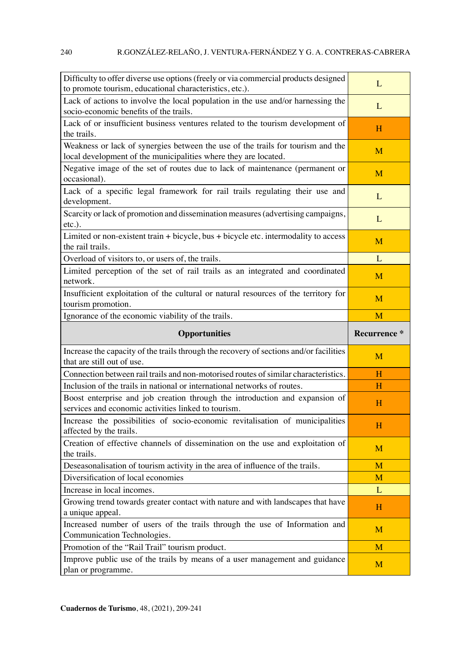| Difficulty to offer diverse use options (freely or via commercial products designed<br>to promote tourism, educational characteristics, etc.).     | L                   |
|----------------------------------------------------------------------------------------------------------------------------------------------------|---------------------|
| Lack of actions to involve the local population in the use and/or harnessing the<br>socio-economic benefits of the trails.                         | L                   |
| Lack of or insufficient business ventures related to the tourism development of<br>the trails.                                                     | H                   |
| Weakness or lack of synergies between the use of the trails for tourism and the<br>local development of the municipalities where they are located. | M                   |
| Negative image of the set of routes due to lack of maintenance (permanent or<br>occasional).                                                       | M                   |
| Lack of a specific legal framework for rail trails regulating their use and<br>development.                                                        | L                   |
| Scarcity or lack of promotion and dissemination measures (advertising campaigns,<br>etc.).                                                         | $\mathbf{L}$        |
| Limited or non-existent train + bicycle, bus + bicycle etc. intermodality to access<br>the rail trails.                                            | M                   |
| Overload of visitors to, or users of, the trails.                                                                                                  | L                   |
| Limited perception of the set of rail trails as an integrated and coordinated<br>network.                                                          | M                   |
| Insufficient exploitation of the cultural or natural resources of the territory for<br>tourism promotion.                                          | M                   |
| Ignorance of the economic viability of the trails.                                                                                                 | M                   |
|                                                                                                                                                    |                     |
| <b>Opportunities</b>                                                                                                                               | <b>Recurrence</b> * |
| Increase the capacity of the trails through the recovery of sections and/or facilities<br>that are still out of use.                               | M                   |
| Connection between rail trails and non-motorised routes of similar characteristics.                                                                | H                   |
| Inclusion of the trails in national or international networks of routes.                                                                           | H                   |
| Boost enterprise and job creation through the introduction and expansion of<br>services and economic activities linked to tourism.                 | H                   |
| Increase the possibilities of socio-economic revitalisation of municipalities<br>affected by the trails.                                           | Н                   |
| Creation of effective channels of dissemination on the use and exploitation of<br>the trails.                                                      | M                   |
| Deseasonalisation of tourism activity in the area of influence of the trails.                                                                      | M                   |
| Diversification of local economies                                                                                                                 | M                   |
| Increase in local incomes.                                                                                                                         | L                   |
| Growing trend towards greater contact with nature and with landscapes that have<br>a unique appeal.                                                | H                   |
| Increased number of users of the trails through the use of Information and<br>Communication Technologies.                                          | M                   |
| Promotion of the "Rail Trail" tourism product.                                                                                                     | M                   |